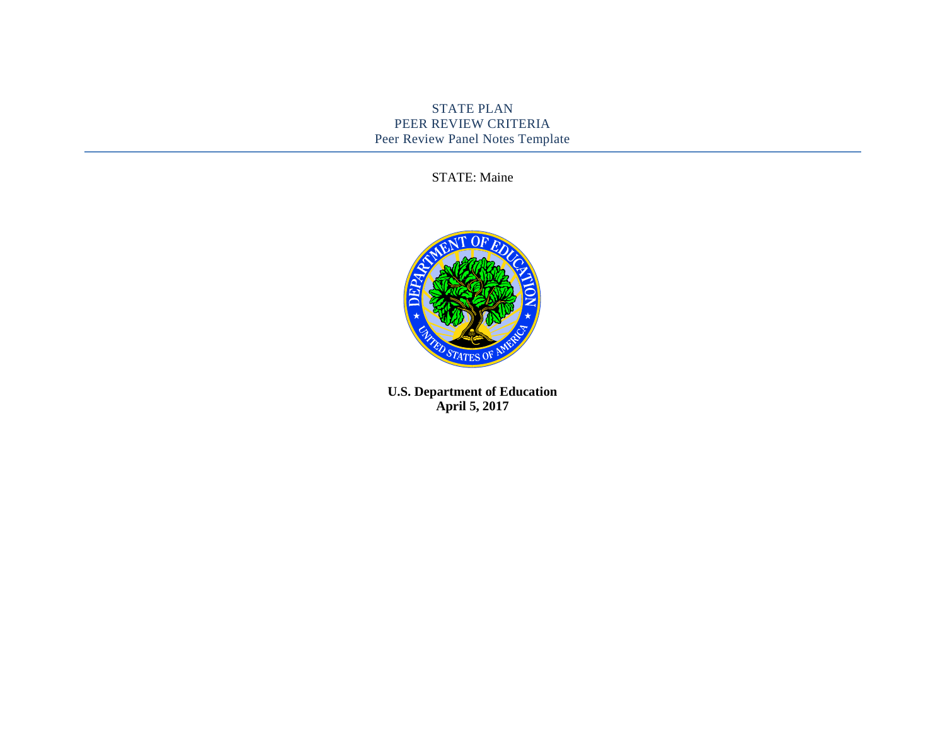## STATE PLAN PEER REVIEW CRITERIA Peer Review Panel Notes Template

STATE: Maine



**U.S. Department of Education April 5, 2017**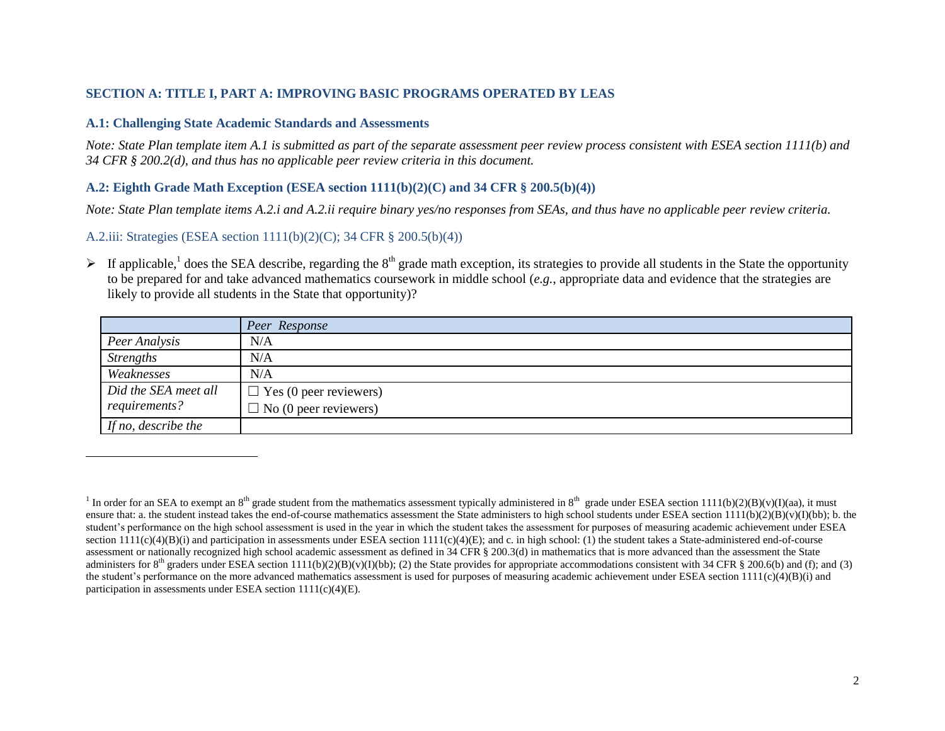#### **SECTION A: TITLE I, PART A: IMPROVING BASIC PROGRAMS OPERATED BY LEAS**

#### **A.1: Challenging State Academic Standards and Assessments**

*Note: State Plan template item A.1 is submitted as part of the separate assessment peer review process consistent with ESEA section 1111(b) and 34 CFR § 200.2(d), and thus has no applicable peer review criteria in this document.*

### **A.2: Eighth Grade Math Exception (ESEA section 1111(b)(2)(C) and 34 CFR § 200.5(b)(4))**

*Note: State Plan template items A.2.i and A.2.ii require binary yes/no responses from SEAs, and thus have no applicable peer review criteria.*

A.2.iii: Strategies (ESEA section 1111(b)(2)(C); 34 CFR § 200.5(b)(4))

 $\overline{a}$ 

If applicable,<sup>1</sup> does the SEA describe, regarding the 8<sup>th</sup> grade math exception, its strategies to provide all students in the State the opportunity to be prepared for and take advanced mathematics coursework in middle school (*e.g.*, appropriate data and evidence that the strategies are likely to provide all students in the State that opportunity)?

|                      | Peer Response                 |
|----------------------|-------------------------------|
| Peer Analysis        | N/A                           |
| <b>Strengths</b>     | N/A                           |
| Weaknesses           | N/A                           |
| Did the SEA meet all | $\Box$ Yes (0 peer reviewers) |
| requirements?        | $\Box$ No (0 peer reviewers)  |
| If no, describe the  |                               |

<sup>&</sup>lt;sup>1</sup> In order for an SEA to exempt an 8<sup>th</sup> grade student from the mathematics assessment typically administered in 8<sup>th</sup> grade under ESEA section 1111(b)(2)(B)(v)(I)(aa), it must ensure that: a. the student instead takes the end-of-course mathematics assessment the State administers to high school students under ESEA section  $1111(b)(2)(B)(v)(I)(bb)$ ; b. the student's performance on the high school assessment is used in the year in which the student takes the assessment for purposes of measuring academic achievement under ESEA section  $111(c)(4)(B)(i)$  and participation in assessments under ESEA section  $111(c)(4)(E)$ ; and c. in high school: (1) the student takes a State-administered end-of-course assessment or nationally recognized high school academic assessment as defined in 34 CFR § 200.3(d) in mathematics that is more advanced than the assessment the State administers for 8<sup>th</sup> graders under ESEA section 1111(b)(2)(B)(v)(I)(bb); (2) the State provides for appropriate accommodations consistent with 34 CFR § 200.6(b) and (f); and (3) the student's performance on the more advanced mathematics assessment is used for purposes of measuring academic achievement under ESEA section 1111(c)(4)(B)(i) and participation in assessments under ESEA section  $1111(c)(4)(E)$ .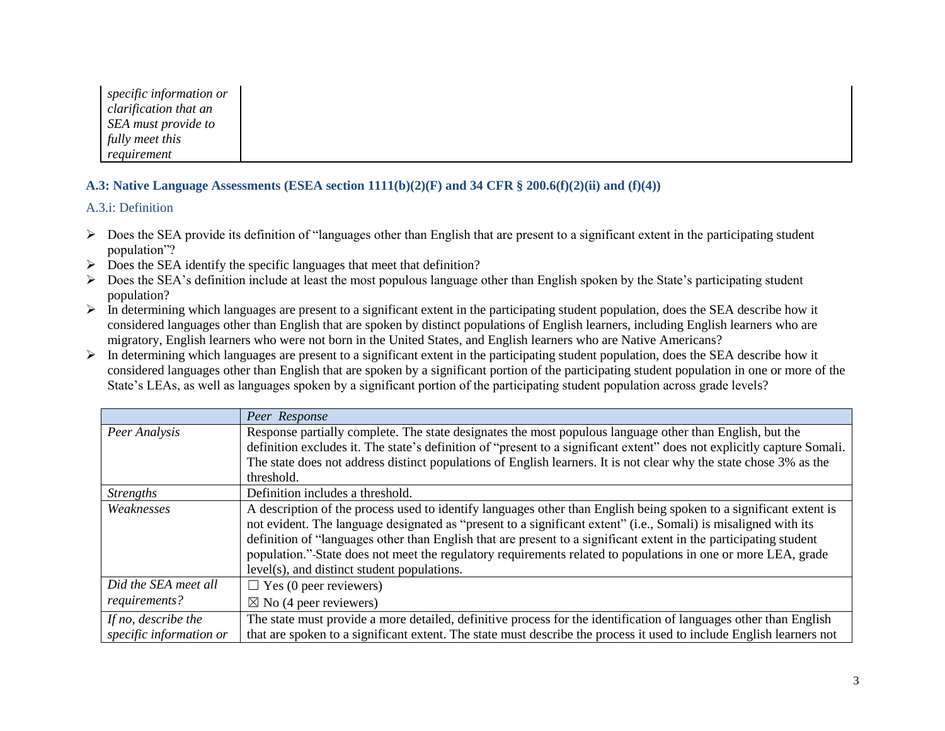| specific information or |
|-------------------------|
| clarification that an   |
| SEA must provide to     |
| fully meet this         |
| requirement             |

## **A.3: Native Language Assessments (ESEA section 1111(b)(2)(F) and 34 CFR § 200.6(f)(2)(ii) and (f)(4))**

A.3.i: Definition

- $\triangleright$  Does the SEA provide its definition of "languages other than English that are present to a significant extent in the participating student population"?
- $\triangleright$  Does the SEA identify the specific languages that meet that definition?
- $\triangleright$  Does the SEA's definition include at least the most populous language other than English spoken by the State's participating student population?
- $\triangleright$  In determining which languages are present to a significant extent in the participating student population, does the SEA describe how it considered languages other than English that are spoken by distinct populations of English learners, including English learners who are migratory, English learners who were not born in the United States, and English learners who are Native Americans?
- $\triangleright$  In determining which languages are present to a significant extent in the participating student population, does the SEA describe how it considered languages other than English that are spoken by a significant portion of the participating student population in one or more of the State's LEAs, as well as languages spoken by a significant portion of the participating student population across grade levels?

|                                                | Peer Response                                                                                                                                                                                                                                                                                                                                                                                                                                                                                                              |
|------------------------------------------------|----------------------------------------------------------------------------------------------------------------------------------------------------------------------------------------------------------------------------------------------------------------------------------------------------------------------------------------------------------------------------------------------------------------------------------------------------------------------------------------------------------------------------|
| Peer Analysis                                  | Response partially complete. The state designates the most populous language other than English, but the<br>definition excludes it. The state's definition of "present to a significant extent" does not explicitly capture Somali.<br>The state does not address distinct populations of English learners. It is not clear why the state chose 3% as the                                                                                                                                                                  |
|                                                | threshold.                                                                                                                                                                                                                                                                                                                                                                                                                                                                                                                 |
| <b>Strengths</b>                               | Definition includes a threshold.                                                                                                                                                                                                                                                                                                                                                                                                                                                                                           |
| Weaknesses                                     | A description of the process used to identify languages other than English being spoken to a significant extent is<br>not evident. The language designated as "present to a significant extent" (i.e., Somali) is misaligned with its<br>definition of "languages other than English that are present to a significant extent in the participating student<br>population." State does not meet the regulatory requirements related to populations in one or more LEA, grade<br>level(s), and distinct student populations. |
| Did the SEA meet all                           | $\Box$ Yes (0 peer reviewers)                                                                                                                                                                                                                                                                                                                                                                                                                                                                                              |
| requirements?                                  | $\boxtimes$ No (4 peer reviewers)                                                                                                                                                                                                                                                                                                                                                                                                                                                                                          |
| If no, describe the<br>specific information or | The state must provide a more detailed, definitive process for the identification of languages other than English<br>that are spoken to a significant extent. The state must describe the process it used to include English learners not                                                                                                                                                                                                                                                                                  |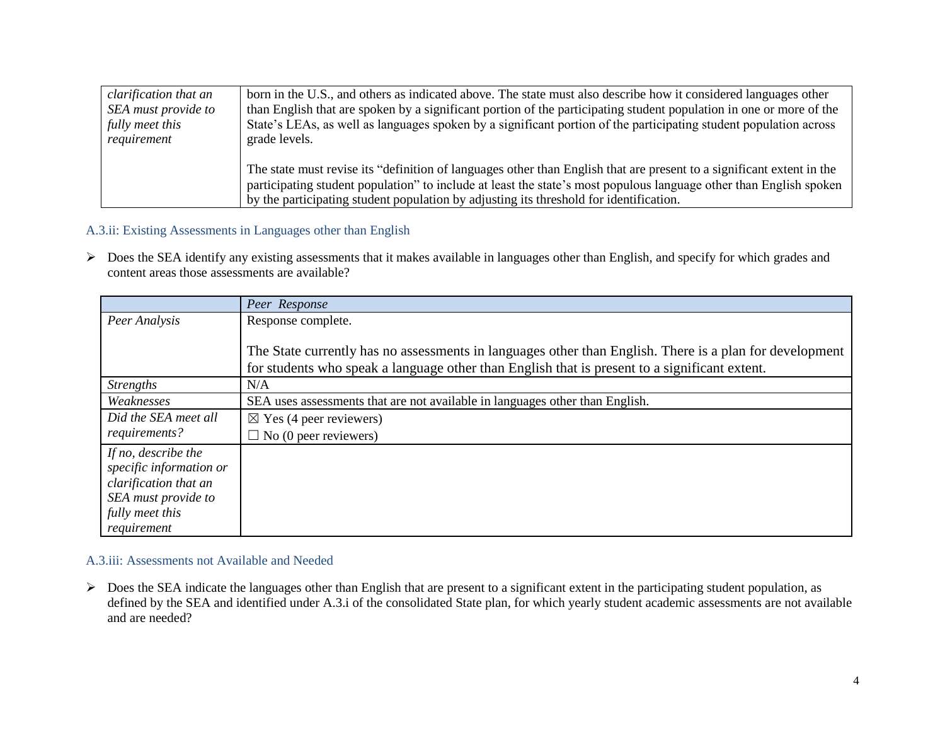| clarification that an | born in the U.S., and others as indicated above. The state must also describe how it considered languages other       |
|-----------------------|-----------------------------------------------------------------------------------------------------------------------|
| SEA must provide to   | than English that are spoken by a significant portion of the participating student population in one or more of the   |
| fully meet this       | State's LEAs, as well as languages spoken by a significant portion of the participating student population across     |
| requirement           | grade levels.                                                                                                         |
|                       |                                                                                                                       |
|                       | The state must revise its "definition of languages other than English that are present to a significant extent in the |
|                       | participating student population" to include at least the state's most populous language other than English spoken    |
|                       | by the participating student population by adjusting its threshold for identification.                                |

# A.3.ii: Existing Assessments in Languages other than English

 Does the SEA identify any existing assessments that it makes available in languages other than English, and specify for which grades and content areas those assessments are available?

|                         | Peer Response                                                                                           |
|-------------------------|---------------------------------------------------------------------------------------------------------|
| Peer Analysis           | Response complete.                                                                                      |
|                         |                                                                                                         |
|                         | The State currently has no assessments in languages other than English. There is a plan for development |
|                         | for students who speak a language other than English that is present to a significant extent.           |
| <b>Strengths</b>        | N/A                                                                                                     |
| Weaknesses              | SEA uses assessments that are not available in languages other than English.                            |
| Did the SEA meet all    | $\boxtimes$ Yes (4 peer reviewers)                                                                      |
| requirements?           | $\Box$ No (0 peer reviewers)                                                                            |
| If no, describe the     |                                                                                                         |
| specific information or |                                                                                                         |
| clarification that an   |                                                                                                         |
| SEA must provide to     |                                                                                                         |
| fully meet this         |                                                                                                         |
| requirement             |                                                                                                         |

### A.3.iii: Assessments not Available and Needed

> Does the SEA indicate the languages other than English that are present to a significant extent in the participating student population, as defined by the SEA and identified under A.3.i of the consolidated State plan, for which yearly student academic assessments are not available and are needed?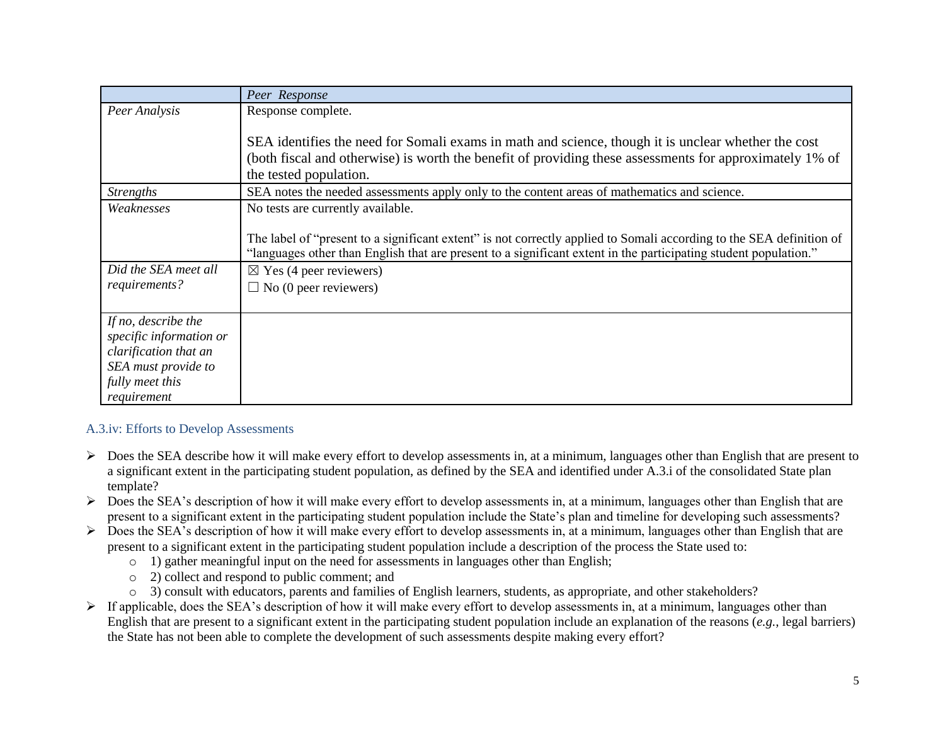|                         | Peer Response                                                                                                        |
|-------------------------|----------------------------------------------------------------------------------------------------------------------|
| Peer Analysis           | Response complete.                                                                                                   |
|                         |                                                                                                                      |
|                         | SEA identifies the need for Somali exams in math and science, though it is unclear whether the cost                  |
|                         | (both fiscal and otherwise) is worth the benefit of providing these assessments for approximately 1% of              |
|                         | the tested population.                                                                                               |
| <b>Strengths</b>        | SEA notes the needed assessments apply only to the content areas of mathematics and science.                         |
| Weaknesses              | No tests are currently available.                                                                                    |
|                         |                                                                                                                      |
|                         | The label of "present to a significant extent" is not correctly applied to Somali according to the SEA definition of |
|                         | "languages other than English that are present to a significant extent in the participating student population."     |
| Did the SEA meet all    | $\boxtimes$ Yes (4 peer reviewers)                                                                                   |
| requirements?           | $\Box$ No (0 peer reviewers)                                                                                         |
|                         |                                                                                                                      |
| If no, describe the     |                                                                                                                      |
| specific information or |                                                                                                                      |
| clarification that an   |                                                                                                                      |
| SEA must provide to     |                                                                                                                      |
| fully meet this         |                                                                                                                      |
| requirement             |                                                                                                                      |

# A.3.iv: Efforts to Develop Assessments

- $\triangleright$  Does the SEA describe how it will make every effort to develop assessments in, at a minimum, languages other than English that are present to a significant extent in the participating student population, as defined by the SEA and identified under A.3.i of the consolidated State plan template?
- $\triangleright$  Does the SEA's description of how it will make every effort to develop assessments in, at a minimum, languages other than English that are present to a significant extent in the participating student population include the State's plan and timeline for developing such assessments?
- $\triangleright$  Does the SEA's description of how it will make every effort to develop assessments in, at a minimum, languages other than English that are present to a significant extent in the participating student population include a description of the process the State used to:
	- $\circ$  1) gather meaningful input on the need for assessments in languages other than English;
	- o 2) collect and respond to public comment; and
	- o 3) consult with educators, parents and families of English learners, students, as appropriate, and other stakeholders?
- $\triangleright$  If applicable, does the SEA's description of how it will make every effort to develop assessments in, at a minimum, languages other than English that are present to a significant extent in the participating student population include an explanation of the reasons (*e.g.*, legal barriers) the State has not been able to complete the development of such assessments despite making every effort?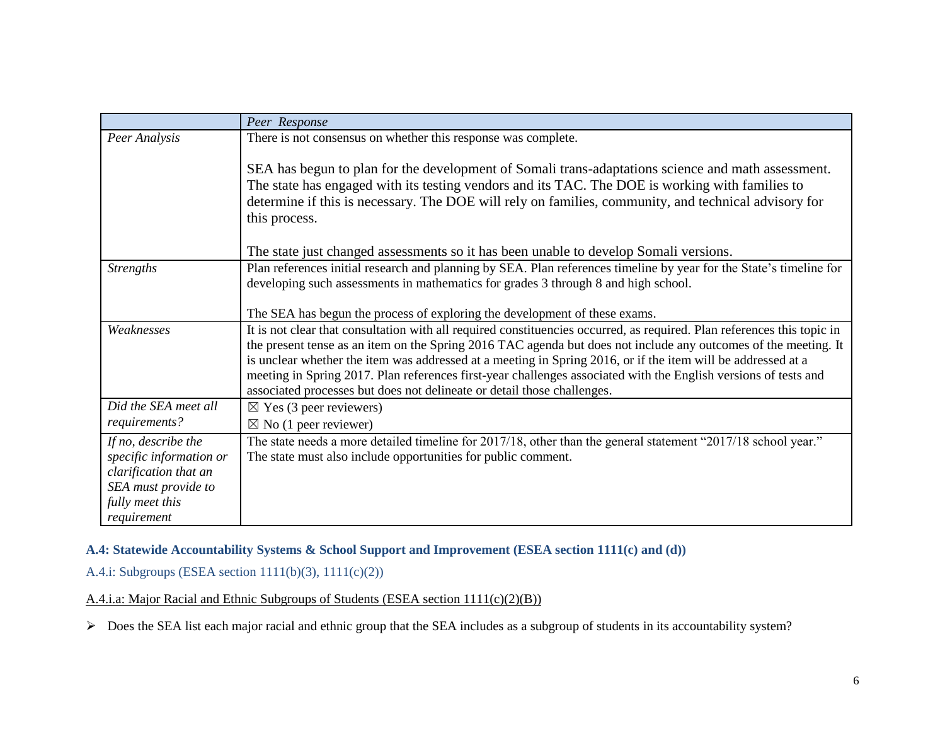|                                                                                                                                  | Peer Response                                                                                                                                                                                                                                                                                                                                                                                                                                                                                                                                            |
|----------------------------------------------------------------------------------------------------------------------------------|----------------------------------------------------------------------------------------------------------------------------------------------------------------------------------------------------------------------------------------------------------------------------------------------------------------------------------------------------------------------------------------------------------------------------------------------------------------------------------------------------------------------------------------------------------|
| Peer Analysis                                                                                                                    | There is not consensus on whether this response was complete.                                                                                                                                                                                                                                                                                                                                                                                                                                                                                            |
|                                                                                                                                  | SEA has begun to plan for the development of Somali trans-adaptations science and math assessment.<br>The state has engaged with its testing vendors and its TAC. The DOE is working with families to<br>determine if this is necessary. The DOE will rely on families, community, and technical advisory for<br>this process.                                                                                                                                                                                                                           |
|                                                                                                                                  | The state just changed assessments so it has been unable to develop Somali versions.                                                                                                                                                                                                                                                                                                                                                                                                                                                                     |
| <b>Strengths</b>                                                                                                                 | Plan references initial research and planning by SEA. Plan references timeline by year for the State's timeline for<br>developing such assessments in mathematics for grades 3 through 8 and high school.                                                                                                                                                                                                                                                                                                                                                |
|                                                                                                                                  | The SEA has begun the process of exploring the development of these exams.                                                                                                                                                                                                                                                                                                                                                                                                                                                                               |
| Weaknesses                                                                                                                       | It is not clear that consultation with all required constituencies occurred, as required. Plan references this topic in<br>the present tense as an item on the Spring 2016 TAC agenda but does not include any outcomes of the meeting. It<br>is unclear whether the item was addressed at a meeting in Spring 2016, or if the item will be addressed at a<br>meeting in Spring 2017. Plan references first-year challenges associated with the English versions of tests and<br>associated processes but does not delineate or detail those challenges. |
| Did the SEA meet all                                                                                                             | $\boxtimes$ Yes (3 peer reviewers)                                                                                                                                                                                                                                                                                                                                                                                                                                                                                                                       |
| requirements?                                                                                                                    | $\boxtimes$ No (1 peer reviewer)                                                                                                                                                                                                                                                                                                                                                                                                                                                                                                                         |
| If no, describe the<br>specific information or<br>clarification that an<br>SEA must provide to<br>fully meet this<br>requirement | The state needs a more detailed timeline for 2017/18, other than the general statement "2017/18 school year."<br>The state must also include opportunities for public comment.                                                                                                                                                                                                                                                                                                                                                                           |

## **A.4: Statewide Accountability Systems & School Support and Improvement (ESEA section 1111(c) and (d))**

## A.4.i: Subgroups (ESEA section 1111(b)(3), 1111(c)(2))

A.4.i.a: Major Racial and Ethnic Subgroups of Students (ESEA section 1111(c)(2)(B))

Does the SEA list each major racial and ethnic group that the SEA includes as a subgroup of students in its accountability system?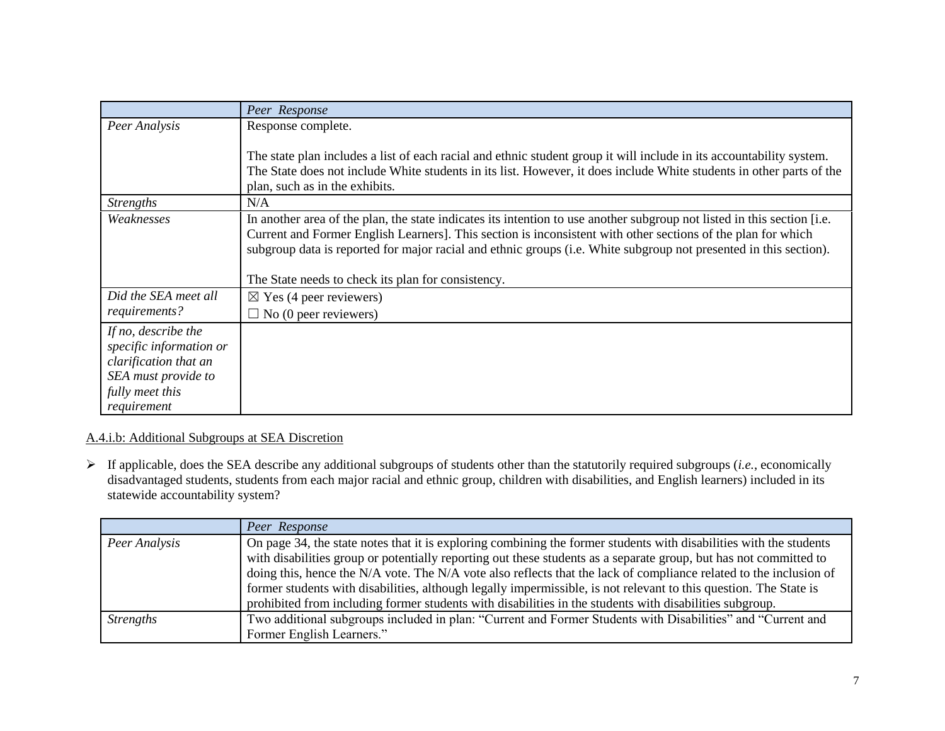|                                                                                                                                  | Peer Response                                                                                                                                                                                                                                                                                                                                                                                                      |
|----------------------------------------------------------------------------------------------------------------------------------|--------------------------------------------------------------------------------------------------------------------------------------------------------------------------------------------------------------------------------------------------------------------------------------------------------------------------------------------------------------------------------------------------------------------|
| Peer Analysis                                                                                                                    | Response complete.                                                                                                                                                                                                                                                                                                                                                                                                 |
|                                                                                                                                  | The state plan includes a list of each racial and ethnic student group it will include in its accountability system.<br>The State does not include White students in its list. However, it does include White students in other parts of the<br>plan, such as in the exhibits.                                                                                                                                     |
| <b>Strengths</b>                                                                                                                 | N/A                                                                                                                                                                                                                                                                                                                                                                                                                |
| Weaknesses                                                                                                                       | In another area of the plan, the state indicates its intention to use another subgroup not listed in this section [i.e.<br>Current and Former English Learners]. This section is inconsistent with other sections of the plan for which<br>subgroup data is reported for major racial and ethnic groups (i.e. White subgroup not presented in this section).<br>The State needs to check its plan for consistency. |
| Did the SEA meet all                                                                                                             | $\boxtimes$ Yes (4 peer reviewers)                                                                                                                                                                                                                                                                                                                                                                                 |
| requirements?                                                                                                                    | $\Box$ No (0 peer reviewers)                                                                                                                                                                                                                                                                                                                                                                                       |
| If no, describe the<br>specific information or<br>clarification that an<br>SEA must provide to<br>fully meet this<br>requirement |                                                                                                                                                                                                                                                                                                                                                                                                                    |

## A.4.i.b: Additional Subgroups at SEA Discretion

 If applicable, does the SEA describe any additional subgroups of students other than the statutorily required subgroups (*i.e.*, economically disadvantaged students, students from each major racial and ethnic group, children with disabilities, and English learners) included in its statewide accountability system?

|                  | Peer Response                                                                                                                                                                                                                                                                                                                                                                                                                                                                                                                                                                                 |
|------------------|-----------------------------------------------------------------------------------------------------------------------------------------------------------------------------------------------------------------------------------------------------------------------------------------------------------------------------------------------------------------------------------------------------------------------------------------------------------------------------------------------------------------------------------------------------------------------------------------------|
| Peer Analysis    | On page 34, the state notes that it is exploring combining the former students with disabilities with the students<br>with disabilities group or potentially reporting out these students as a separate group, but has not committed to<br>doing this, hence the N/A vote. The N/A vote also reflects that the lack of compliance related to the inclusion of<br>former students with disabilities, although legally impermissible, is not relevant to this question. The State is<br>prohibited from including former students with disabilities in the students with disabilities subgroup. |
| <b>Strengths</b> | Two additional subgroups included in plan: "Current and Former Students with Disabilities" and "Current and<br>Former English Learners."                                                                                                                                                                                                                                                                                                                                                                                                                                                      |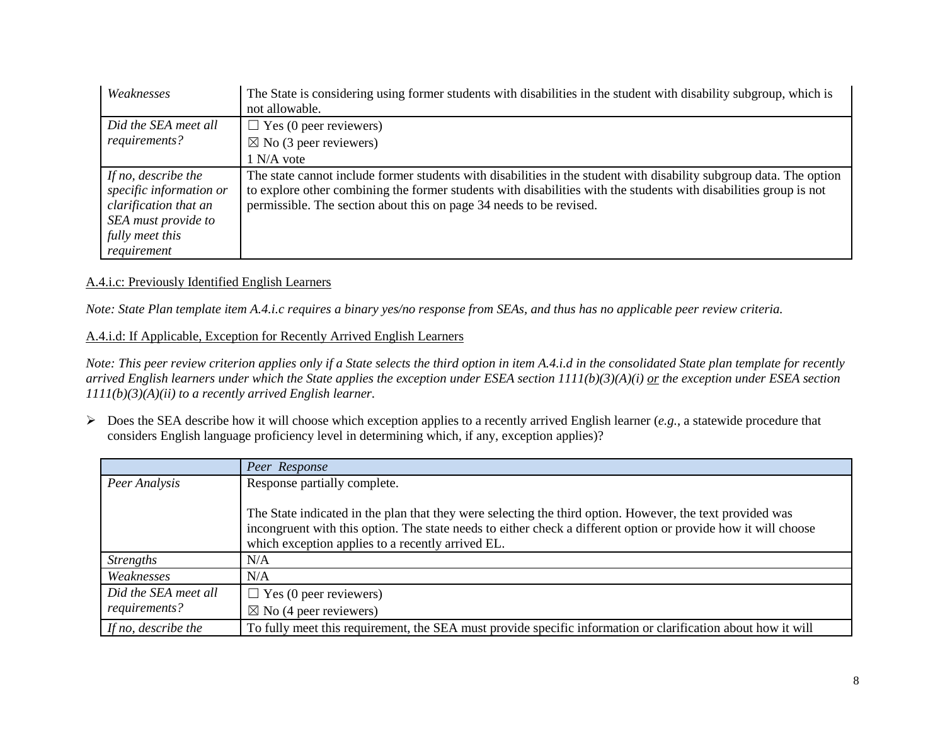| Weaknesses                                                                                                        | The State is considering using former students with disabilities in the student with disability subgroup, which is<br>not allowable.                                                                                                                                                                            |
|-------------------------------------------------------------------------------------------------------------------|-----------------------------------------------------------------------------------------------------------------------------------------------------------------------------------------------------------------------------------------------------------------------------------------------------------------|
| Did the SEA meet all<br>requirements?                                                                             | $\Box$ Yes (0 peer reviewers)<br>$\boxtimes$ No (3 peer reviewers)                                                                                                                                                                                                                                              |
|                                                                                                                   | 1 N/A vote                                                                                                                                                                                                                                                                                                      |
| If no, describe the<br>specific information or<br>clarification that an<br>SEA must provide to<br>fully meet this | The state cannot include former students with disabilities in the student with disability subgroup data. The option<br>to explore other combining the former students with disabilities with the students with disabilities group is not<br>permissible. The section about this on page 34 needs to be revised. |
| requirement                                                                                                       |                                                                                                                                                                                                                                                                                                                 |

#### A.4.i.c: Previously Identified English Learners

*Note: State Plan template item A.4.i.c requires a binary yes/no response from SEAs, and thus has no applicable peer review criteria.* 

### A.4.i.d: If Applicable, Exception for Recently Arrived English Learners

*Note: This peer review criterion applies only if a State selects the third option in item A.4.i.d in the consolidated State plan template for recently arrived English learners under which the State applies the exception under ESEA section 1111(b)(3)(A)(i) or the exception under ESEA section 1111(b)(3)(A)(ii) to a recently arrived English learner.*

 Does the SEA describe how it will choose which exception applies to a recently arrived English learner (*e.g.*, a statewide procedure that considers English language proficiency level in determining which, if any, exception applies)?

|                      | Peer Response                                                                                                                                                                                                                                                                    |
|----------------------|----------------------------------------------------------------------------------------------------------------------------------------------------------------------------------------------------------------------------------------------------------------------------------|
| Peer Analysis        | Response partially complete.                                                                                                                                                                                                                                                     |
|                      | The State indicated in the plan that they were selecting the third option. However, the text provided was<br>incongruent with this option. The state needs to either check a different option or provide how it will choose<br>which exception applies to a recently arrived EL. |
| <i>Strengths</i>     | N/A                                                                                                                                                                                                                                                                              |
| Weaknesses           | N/A                                                                                                                                                                                                                                                                              |
| Did the SEA meet all | $\Box$ Yes (0 peer reviewers)                                                                                                                                                                                                                                                    |
| requirements?        | $\boxtimes$ No (4 peer reviewers)                                                                                                                                                                                                                                                |
| If no, describe the  | To fully meet this requirement, the SEA must provide specific information or clarification about how it will                                                                                                                                                                     |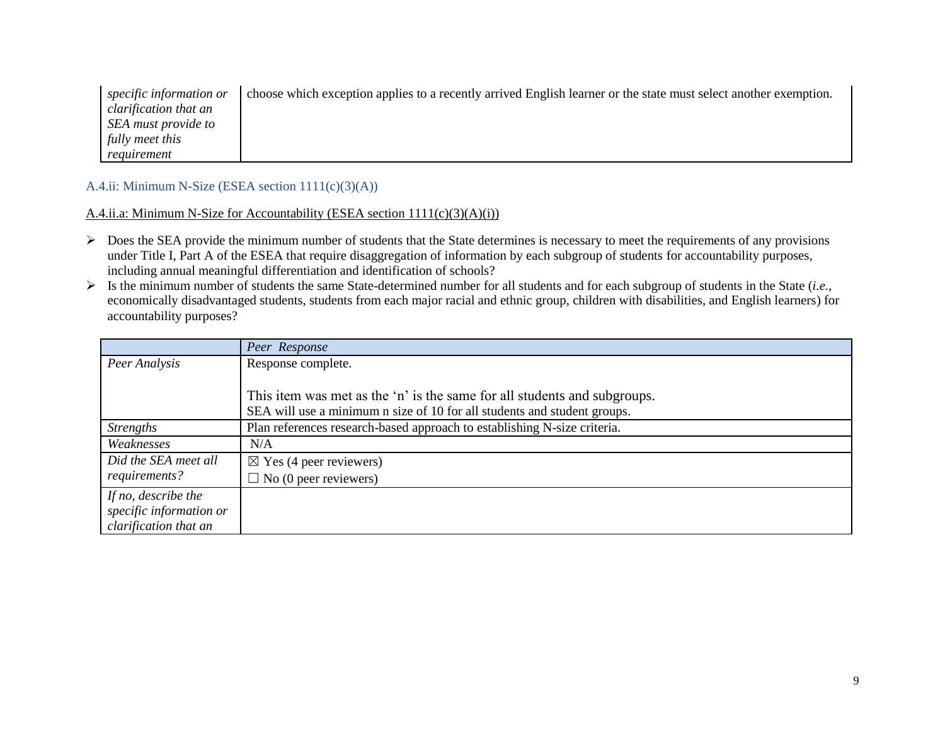| specific information or | no choose which exception applies to a recently arrived English learner or the state must select another exemption. |
|-------------------------|---------------------------------------------------------------------------------------------------------------------|
| clarification that an   |                                                                                                                     |
| SEA must provide to     |                                                                                                                     |
| fully meet this         |                                                                                                                     |
| requirement             |                                                                                                                     |

A.4.ii: Minimum N-Size (ESEA section 1111(c)(3)(A))

A.4.ii.a: Minimum N-Size for Accountability (ESEA section 1111(c)(3)(A)(i))

- $\triangleright$  Does the SEA provide the minimum number of students that the State determines is necessary to meet the requirements of any provisions under Title I, Part A of the ESEA that require disaggregation of information by each subgroup of students for accountability purposes, including annual meaningful differentiation and identification of schools?
- Is the minimum number of students the same State-determined number for all students and for each subgroup of students in the State (*i.e.*, economically disadvantaged students, students from each major racial and ethnic group, children with disabilities, and English learners) for accountability purposes?

|                         | Peer Response                                                            |
|-------------------------|--------------------------------------------------------------------------|
| Peer Analysis           | Response complete.                                                       |
|                         |                                                                          |
|                         | This item was met as the 'n' is the same for all students and subgroups. |
|                         | SEA will use a minimum n size of 10 for all students and student groups. |
| <i>Strengths</i>        | Plan references research-based approach to establishing N-size criteria. |
| Weaknesses              | N/A                                                                      |
| Did the SEA meet all    | $\boxtimes$ Yes (4 peer reviewers)                                       |
| requirements?           | $\Box$ No (0 peer reviewers)                                             |
| If no, describe the     |                                                                          |
| specific information or |                                                                          |
| clarification that an   |                                                                          |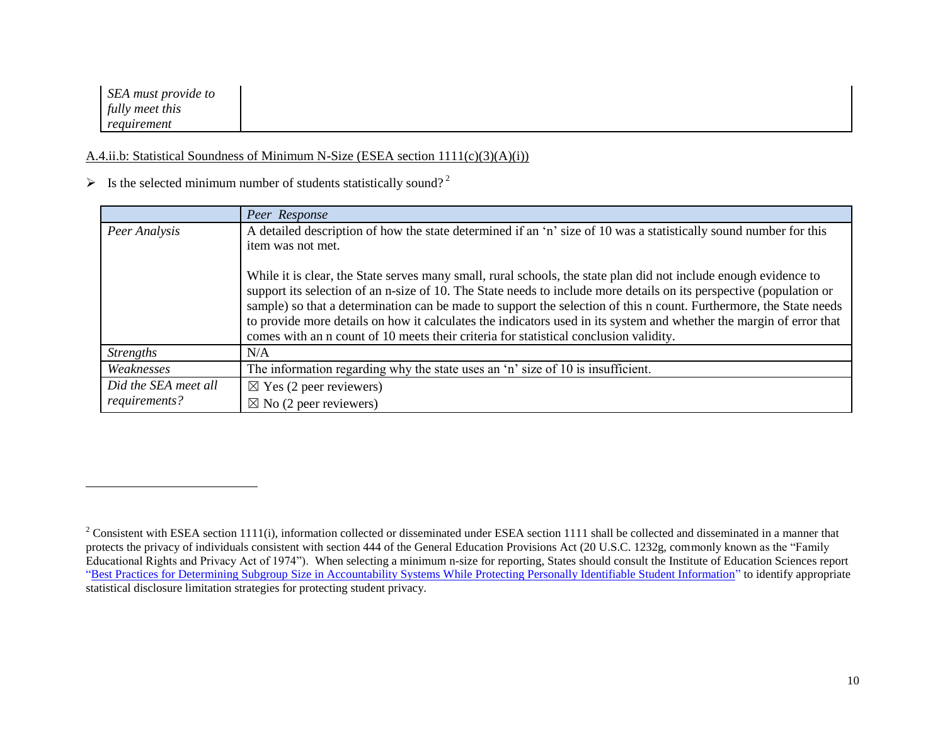*SEA must provide to fully meet this requirement*

 $\overline{a}$ 

### A.4.ii.b: Statistical Soundness of Minimum N-Size (ESEA section 1111(c)(3)(A)(i))

# $\triangleright$  Is the selected minimum number of students statistically sound?<sup>2</sup>

|                      | Peer Response                                                                                                                                                                                                                                                                                                                                                                                                                                                                                                                                                                 |
|----------------------|-------------------------------------------------------------------------------------------------------------------------------------------------------------------------------------------------------------------------------------------------------------------------------------------------------------------------------------------------------------------------------------------------------------------------------------------------------------------------------------------------------------------------------------------------------------------------------|
| Peer Analysis        | A detailed description of how the state determined if an 'n' size of 10 was a statistically sound number for this                                                                                                                                                                                                                                                                                                                                                                                                                                                             |
|                      | item was not met.                                                                                                                                                                                                                                                                                                                                                                                                                                                                                                                                                             |
|                      | While it is clear, the State serves many small, rural schools, the state plan did not include enough evidence to<br>support its selection of an n-size of 10. The State needs to include more details on its perspective (population or<br>sample) so that a determination can be made to support the selection of this n count. Furthermore, the State needs<br>to provide more details on how it calculates the indicators used in its system and whether the margin of error that<br>comes with an n count of 10 meets their criteria for statistical conclusion validity. |
| <b>Strengths</b>     | N/A                                                                                                                                                                                                                                                                                                                                                                                                                                                                                                                                                                           |
| Weaknesses           | The information regarding why the state uses an 'n' size of 10 is insufficient.                                                                                                                                                                                                                                                                                                                                                                                                                                                                                               |
| Did the SEA meet all | $\boxtimes$ Yes (2 peer reviewers)                                                                                                                                                                                                                                                                                                                                                                                                                                                                                                                                            |
| requirements?        | $\boxtimes$ No (2 peer reviewers)                                                                                                                                                                                                                                                                                                                                                                                                                                                                                                                                             |

 $2$  Consistent with ESEA section 1111(i), information collected or disseminated under ESEA section 1111 shall be collected and disseminated in a manner that protects the privacy of individuals consistent with section 444 of the General Education Provisions Act (20 U.S.C. 1232g, commonly known as the "Family Educational Rights and Privacy Act of 1974"). When selecting a minimum n-size for reporting, States should consult the Institute of Education Sciences report "Best Practices for Determining Subgroup [Size in Accountability Systems While Protecting Personally Identifiable Student Information"](https://nces.ed.gov/pubs2017/2017147.pdf) to identify appropriate statistical disclosure limitation strategies for protecting student privacy.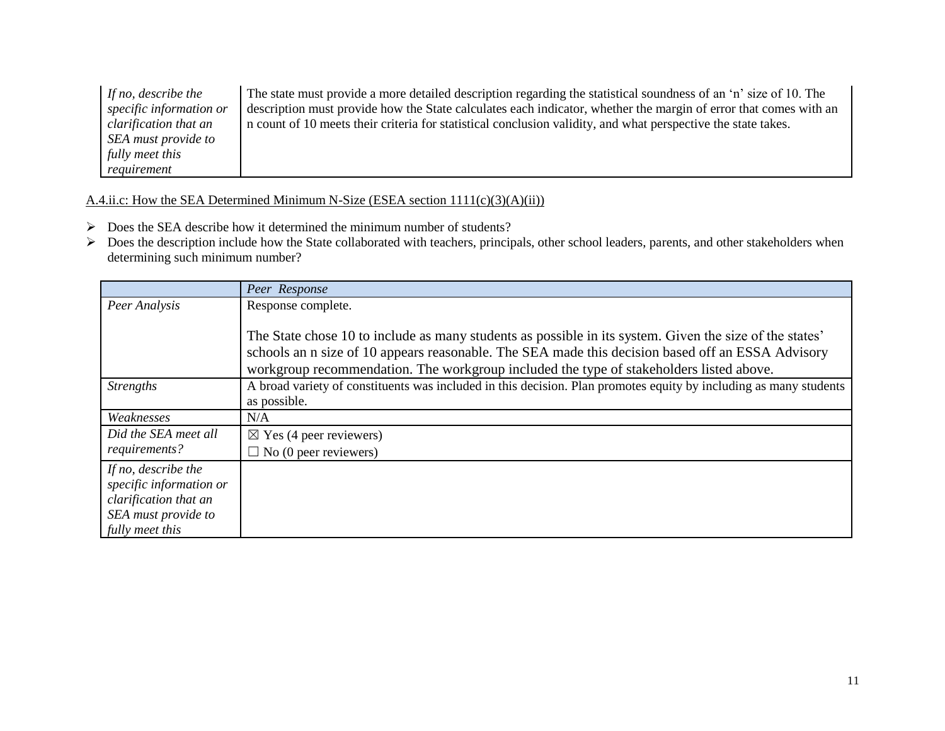| If no, describe the     | The state must provide a more detailed description regarding the statistical soundness of an 'n' size of 10. The |
|-------------------------|------------------------------------------------------------------------------------------------------------------|
| specific information or | description must provide how the State calculates each indicator, whether the margin of error that comes with an |
| clarification that an   | n count of 10 meets their criteria for statistical conclusion validity, and what perspective the state takes.    |
| SEA must provide to     |                                                                                                                  |
| fully meet this         |                                                                                                                  |
| requirement             |                                                                                                                  |

# A.4.ii.c: How the SEA Determined Minimum N-Size (ESEA section 1111(c)(3)(A)(ii))

- $\triangleright$  Does the SEA describe how it determined the minimum number of students?
- ▶ Does the description include how the State collaborated with teachers, principals, other school leaders, parents, and other stakeholders when determining such minimum number?

|                         | Peer Response                                                                                                     |
|-------------------------|-------------------------------------------------------------------------------------------------------------------|
| Peer Analysis           | Response complete.                                                                                                |
|                         |                                                                                                                   |
|                         | The State chose 10 to include as many students as possible in its system. Given the size of the states'           |
|                         | schools an n size of 10 appears reasonable. The SEA made this decision based off an ESSA Advisory                 |
|                         | workgroup recommendation. The workgroup included the type of stakeholders listed above.                           |
| <i>Strengths</i>        | A broad variety of constituents was included in this decision. Plan promotes equity by including as many students |
|                         | as possible.                                                                                                      |
| Weaknesses              | N/A                                                                                                               |
| Did the SEA meet all    | $\boxtimes$ Yes (4 peer reviewers)                                                                                |
| requirements?           | $\Box$ No (0 peer reviewers)                                                                                      |
| If no, describe the     |                                                                                                                   |
| specific information or |                                                                                                                   |
| clarification that an   |                                                                                                                   |
| SEA must provide to     |                                                                                                                   |
| fully meet this         |                                                                                                                   |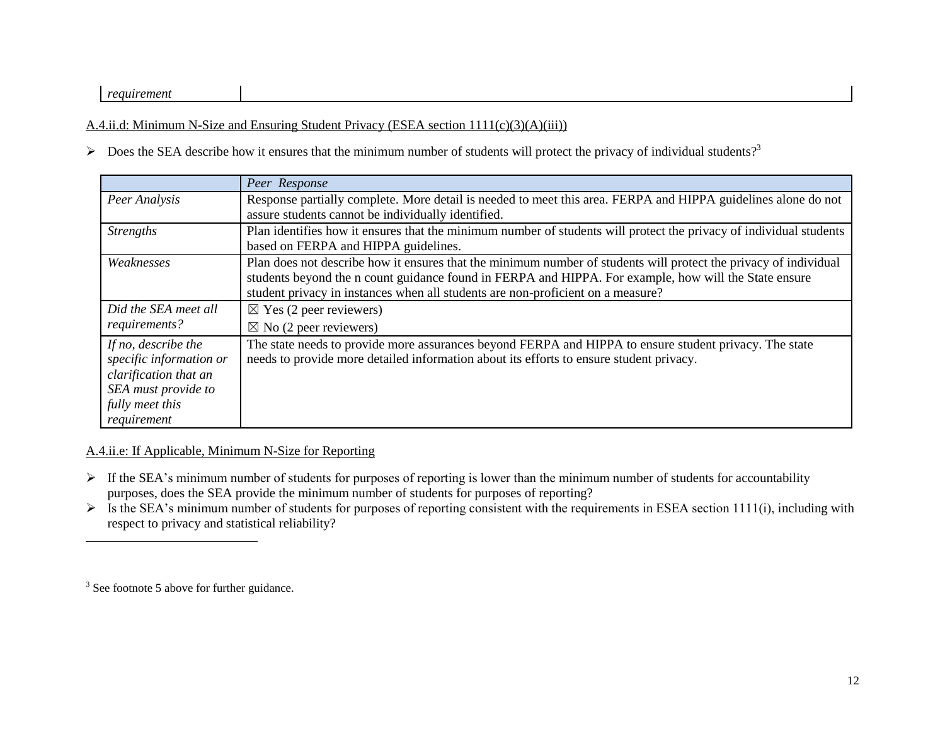#### *requirement*

A.4.ii.d: Minimum N-Size and Ensuring Student Privacy (ESEA section 1111(c)(3)(A)(iii))

 $\triangleright$  Does the SEA describe how it ensures that the minimum number of students will protect the privacy of individual students?<sup>3</sup>

|                         | Peer Response                                                                                                      |
|-------------------------|--------------------------------------------------------------------------------------------------------------------|
| Peer Analysis           | Response partially complete. More detail is needed to meet this area. FERPA and HIPPA guidelines alone do not      |
|                         | assure students cannot be individually identified.                                                                 |
| <i>Strengths</i>        | Plan identifies how it ensures that the minimum number of students will protect the privacy of individual students |
|                         | based on FERPA and HIPPA guidelines.                                                                               |
| Weaknesses              | Plan does not describe how it ensures that the minimum number of students will protect the privacy of individual   |
|                         | students beyond the n count guidance found in FERPA and HIPPA. For example, how will the State ensure              |
|                         | student privacy in instances when all students are non-proficient on a measure?                                    |
| Did the SEA meet all    | $\boxtimes$ Yes (2 peer reviewers)                                                                                 |
| requirements?           | $\boxtimes$ No (2 peer reviewers)                                                                                  |
| If no, describe the     | The state needs to provide more assurances beyond FERPA and HIPPA to ensure student privacy. The state             |
| specific information or | needs to provide more detailed information about its efforts to ensure student privacy.                            |
| clarification that an   |                                                                                                                    |
| SEA must provide to     |                                                                                                                    |
| fully meet this         |                                                                                                                    |
| requirement             |                                                                                                                    |

#### A.4.ii.e: If Applicable, Minimum N-Size for Reporting

- $\triangleright$  If the SEA's minimum number of students for purposes of reporting is lower than the minimum number of students for accountability purposes, does the SEA provide the minimum number of students for purposes of reporting?
- $\triangleright$  Is the SEA's minimum number of students for purposes of reporting consistent with the requirements in ESEA section 1111(i), including with respect to privacy and statistical reliability?

 $\overline{a}$ 

 $3$  See footnote 5 above for further guidance.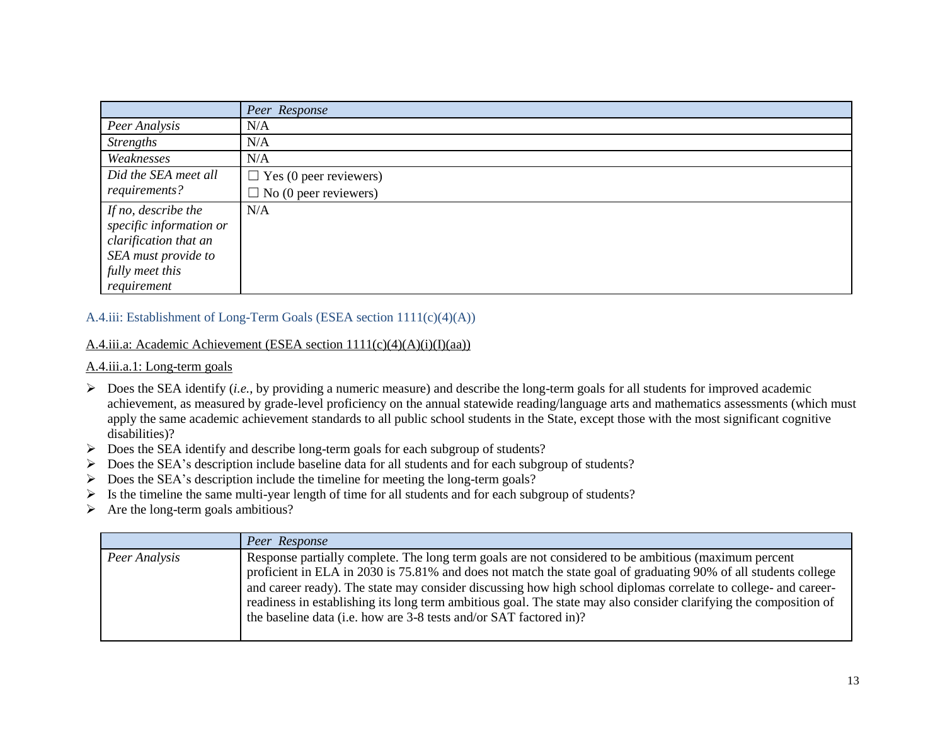|                         | Peer Response                 |
|-------------------------|-------------------------------|
| Peer Analysis           | N/A                           |
| <b>Strengths</b>        | N/A                           |
| Weaknesses              | N/A                           |
| Did the SEA meet all    | $\Box$ Yes (0 peer reviewers) |
| requirements?           | $\Box$ No (0 peer reviewers)  |
| If no, describe the     | N/A                           |
| specific information or |                               |
| clarification that an   |                               |
| SEA must provide to     |                               |
| fully meet this         |                               |
| requirement             |                               |

## A.4.iii: Establishment of Long-Term Goals (ESEA section 1111(c)(4)(A))

#### A.4.iii.a: Academic Achievement (ESEA section 1111(c)(4)(A)(i)(I)(aa))

#### A.4.iii.a.1: Long-term goals

- $\triangleright$  Does the SEA identify (*i.e.*, by providing a numeric measure) and describe the long-term goals for all students for improved academic achievement, as measured by grade-level proficiency on the annual statewide reading/language arts and mathematics assessments (which must apply the same academic achievement standards to all public school students in the State, except those with the most significant cognitive disabilities)?
- Does the SEA identify and describe long-term goals for each subgroup of students?
- $\triangleright$  Does the SEA's description include baseline data for all students and for each subgroup of students?
- $\triangleright$  Does the SEA's description include the timeline for meeting the long-term goals?
- $\triangleright$  Is the timeline the same multi-year length of time for all students and for each subgroup of students?
- $\triangleright$  Are the long-term goals ambitious?

|               | Peer Response                                                                                                                                                                                                                                                                                                                                                                                                                                                                                                                         |
|---------------|---------------------------------------------------------------------------------------------------------------------------------------------------------------------------------------------------------------------------------------------------------------------------------------------------------------------------------------------------------------------------------------------------------------------------------------------------------------------------------------------------------------------------------------|
| Peer Analysis | Response partially complete. The long term goals are not considered to be ambitious (maximum percent<br>proficient in ELA in 2030 is 75.81% and does not match the state goal of graduating 90% of all students college<br>and career ready). The state may consider discussing how high school diplomas correlate to college- and career-<br>readiness in establishing its long term ambitious goal. The state may also consider clarifying the composition of<br>the baseline data (i.e. how are 3-8 tests and/or SAT factored in)? |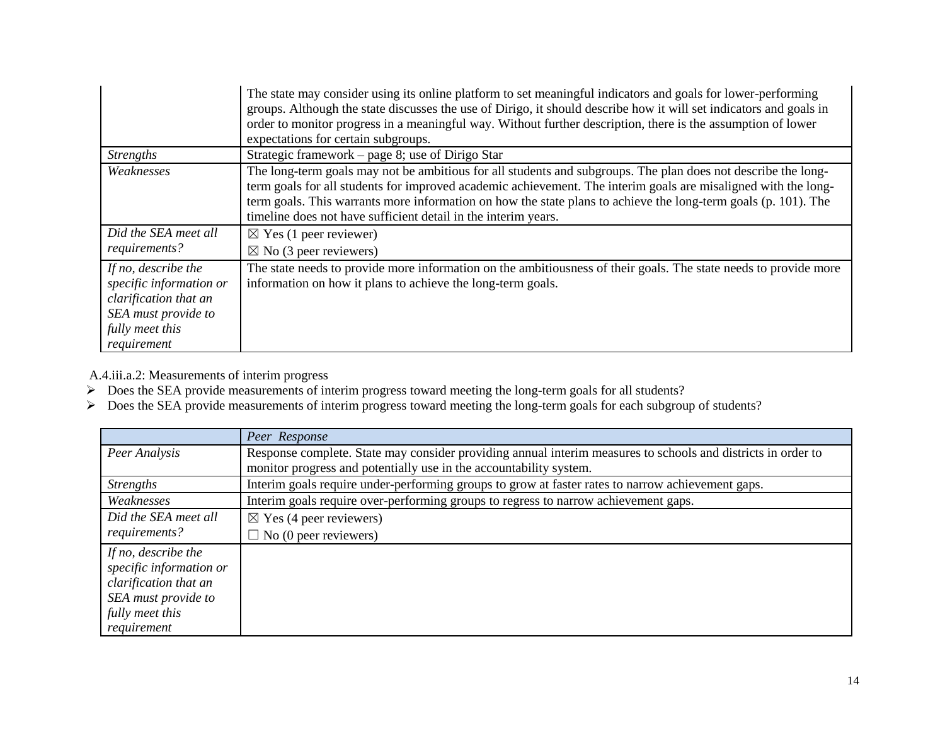|                                                                                                                                  | The state may consider using its online platform to set meaningful indicators and goals for lower-performing<br>groups. Although the state discusses the use of Dirigo, it should describe how it will set indicators and goals in<br>order to monitor progress in a meaningful way. Without further description, there is the assumption of lower<br>expectations for certain subgroups.                           |
|----------------------------------------------------------------------------------------------------------------------------------|---------------------------------------------------------------------------------------------------------------------------------------------------------------------------------------------------------------------------------------------------------------------------------------------------------------------------------------------------------------------------------------------------------------------|
| <i>Strengths</i>                                                                                                                 | Strategic framework – page 8; use of Dirigo Star                                                                                                                                                                                                                                                                                                                                                                    |
| Weaknesses                                                                                                                       | The long-term goals may not be ambitious for all students and subgroups. The plan does not describe the long-<br>term goals for all students for improved academic achievement. The interim goals are misaligned with the long-<br>term goals. This warrants more information on how the state plans to achieve the long-term goals (p. 101). The<br>timeline does not have sufficient detail in the interim years. |
| Did the SEA meet all                                                                                                             | $\boxtimes$ Yes (1 peer reviewer)                                                                                                                                                                                                                                                                                                                                                                                   |
| requirements?                                                                                                                    | $\boxtimes$ No (3 peer reviewers)                                                                                                                                                                                                                                                                                                                                                                                   |
| If no, describe the<br>specific information or<br>clarification that an<br>SEA must provide to<br>fully meet this<br>requirement | The state needs to provide more information on the ambitiousness of their goals. The state needs to provide more<br>information on how it plans to achieve the long-term goals.                                                                                                                                                                                                                                     |

A.4.iii.a.2: Measurements of interim progress

- $\triangleright$  Does the SEA provide measurements of interim progress toward meeting the long-term goals for all students?
- Does the SEA provide measurements of interim progress toward meeting the long-term goals for each subgroup of students?

|                         | Peer Response                                                                                                |
|-------------------------|--------------------------------------------------------------------------------------------------------------|
| Peer Analysis           | Response complete. State may consider providing annual interim measures to schools and districts in order to |
|                         | monitor progress and potentially use in the accountability system.                                           |
| <b>Strengths</b>        | Interim goals require under-performing groups to grow at faster rates to narrow achievement gaps.            |
| Weaknesses              | Interim goals require over-performing groups to regress to narrow achievement gaps.                          |
| Did the SEA meet all    | $\boxtimes$ Yes (4 peer reviewers)                                                                           |
| requirements?           | $\Box$ No (0 peer reviewers)                                                                                 |
| If no, describe the     |                                                                                                              |
| specific information or |                                                                                                              |
| clarification that an   |                                                                                                              |
| SEA must provide to     |                                                                                                              |
| fully meet this         |                                                                                                              |
| requirement             |                                                                                                              |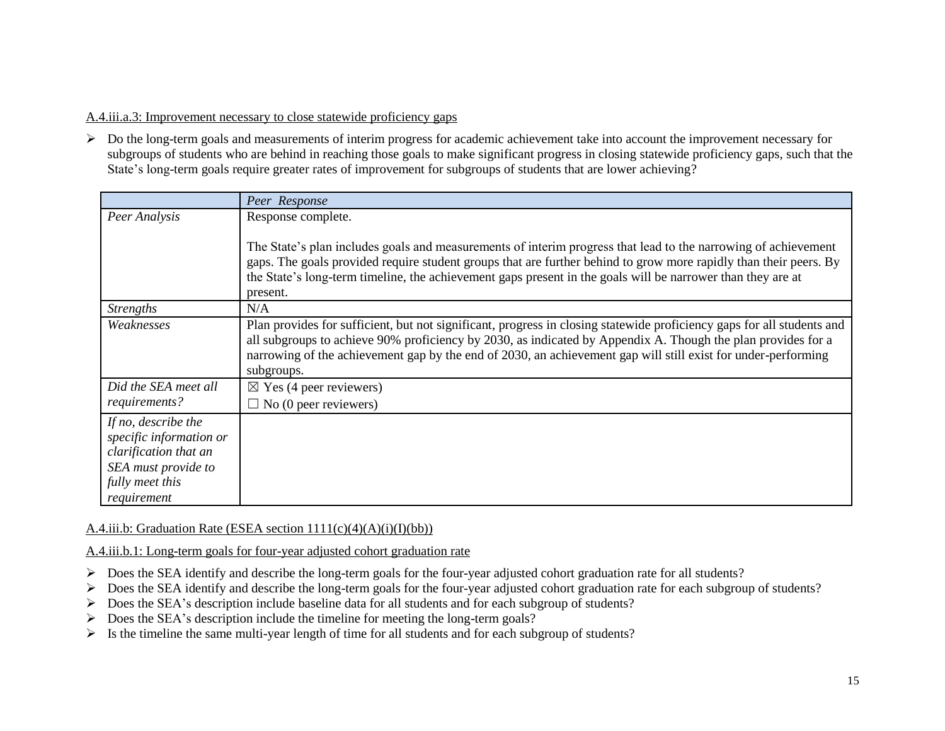## A.4.iii.a.3: Improvement necessary to close statewide proficiency gaps

 $\triangleright$  Do the long-term goals and measurements of interim progress for academic achievement take into account the improvement necessary for subgroups of students who are behind in reaching those goals to make significant progress in closing statewide proficiency gaps, such that the State's long-term goals require greater rates of improvement for subgroups of students that are lower achieving?

|                         | Peer Response                                                                                                           |
|-------------------------|-------------------------------------------------------------------------------------------------------------------------|
| Peer Analysis           | Response complete.                                                                                                      |
|                         |                                                                                                                         |
|                         | The State's plan includes goals and measurements of interim progress that lead to the narrowing of achievement          |
|                         | gaps. The goals provided require student groups that are further behind to grow more rapidly than their peers. By       |
|                         | the State's long-term timeline, the achievement gaps present in the goals will be narrower than they are at<br>present. |
| <i>Strengths</i>        | N/A                                                                                                                     |
| Weaknesses              | Plan provides for sufficient, but not significant, progress in closing statewide proficiency gaps for all students and  |
|                         | all subgroups to achieve 90% proficiency by 2030, as indicated by Appendix A. Though the plan provides for a            |
|                         | narrowing of the achievement gap by the end of 2030, an achievement gap will still exist for under-performing           |
|                         | subgroups.                                                                                                              |
| Did the SEA meet all    | $\boxtimes$ Yes (4 peer reviewers)                                                                                      |
| requirements?           | $\Box$ No (0 peer reviewers)                                                                                            |
| If no, describe the     |                                                                                                                         |
| specific information or |                                                                                                                         |
| clarification that an   |                                                                                                                         |
| SEA must provide to     |                                                                                                                         |
| fully meet this         |                                                                                                                         |
| requirement             |                                                                                                                         |

### A.4.iii.b: Graduation Rate (ESEA section  $1111(c)(4)(A)(i)(I)(bb)$ )

A.4.iii.b.1: Long-term goals for four-year adjusted cohort graduation rate

- $\triangleright$  Does the SEA identify and describe the long-term goals for the four-year adjusted cohort graduation rate for all students?
- Does the SEA identify and describe the long-term goals for the four-year adjusted cohort graduation rate for each subgroup of students?
- Does the SEA's description include baseline data for all students and for each subgroup of students?
- $\triangleright$  Does the SEA's description include the timeline for meeting the long-term goals?
- $\triangleright$  Is the timeline the same multi-year length of time for all students and for each subgroup of students?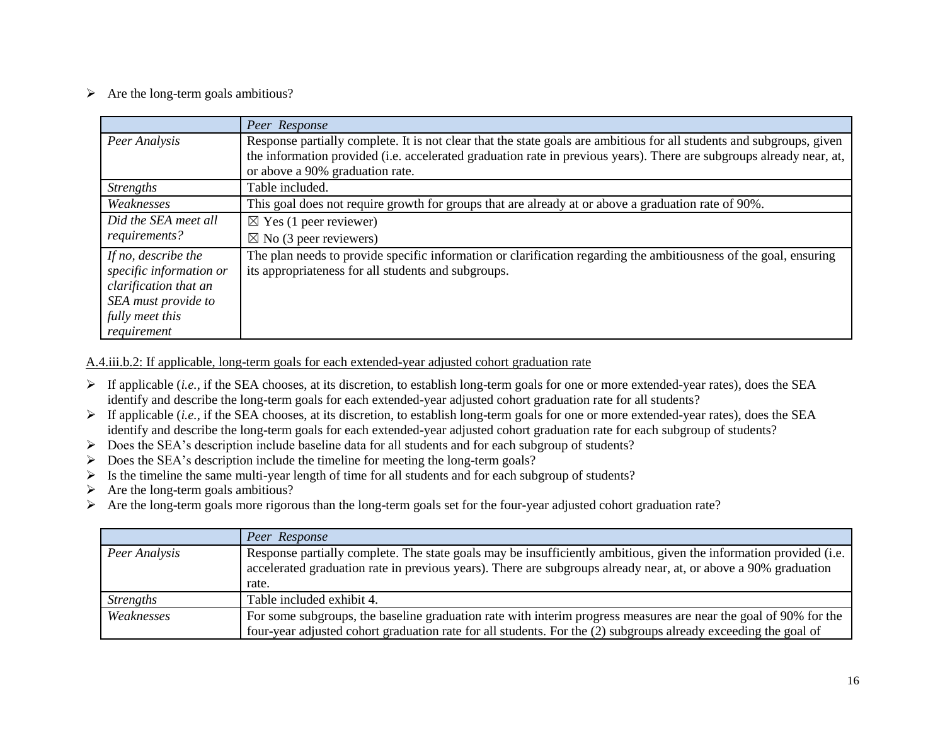$\triangleright$  Are the long-term goals ambitious?

|                         | Peer Response                                                                                                         |
|-------------------------|-----------------------------------------------------------------------------------------------------------------------|
| Peer Analysis           | Response partially complete. It is not clear that the state goals are ambitious for all students and subgroups, given |
|                         | the information provided (i.e. accelerated graduation rate in previous years). There are subgroups already near, at,  |
|                         | or above a 90% graduation rate.                                                                                       |
| <i>Strengths</i>        | Table included.                                                                                                       |
| Weaknesses              | This goal does not require growth for groups that are already at or above a graduation rate of 90%.                   |
| Did the SEA meet all    | $\boxtimes$ Yes (1 peer reviewer)                                                                                     |
| requirements?           | $\boxtimes$ No (3 peer reviewers)                                                                                     |
| If no, describe the     | The plan needs to provide specific information or clarification regarding the ambitiousness of the goal, ensuring     |
| specific information or | its appropriateness for all students and subgroups.                                                                   |
| clarification that an   |                                                                                                                       |
| SEA must provide to     |                                                                                                                       |
| fully meet this         |                                                                                                                       |
| requirement             |                                                                                                                       |

A.4.iii.b.2: If applicable, long-term goals for each extended-year adjusted cohort graduation rate

- If applicable (*i.e.*, if the SEA chooses, at its discretion, to establish long-term goals for one or more extended-year rates), does the SEA identify and describe the long-term goals for each extended-year adjusted cohort graduation rate for all students?
- If applicable (*i.e.*, if the SEA chooses, at its discretion, to establish long-term goals for one or more extended-year rates), does the SEA identify and describe the long-term goals for each extended-year adjusted cohort graduation rate for each subgroup of students?
- $\triangleright$  Does the SEA's description include baseline data for all students and for each subgroup of students?
- $\triangleright$  Does the SEA's description include the timeline for meeting the long-term goals?
- $\triangleright$  Is the timeline the same multi-year length of time for all students and for each subgroup of students?
- $\triangleright$  Are the long-term goals ambitious?
- Are the long-term goals more rigorous than the long-term goals set for the four-year adjusted cohort graduation rate?

|                  | Peer Response                                                                                                                                                                                                                         |
|------------------|---------------------------------------------------------------------------------------------------------------------------------------------------------------------------------------------------------------------------------------|
| Peer Analysis    | Response partially complete. The state goals may be insufficiently ambitious, given the information provided (i.e.<br>accelerated graduation rate in previous years). There are subgroups already near, at, or above a 90% graduation |
|                  | rate.                                                                                                                                                                                                                                 |
| <b>Strengths</b> | Table included exhibit 4.                                                                                                                                                                                                             |
| Weaknesses       | For some subgroups, the baseline graduation rate with interim progress measures are near the goal of 90% for the                                                                                                                      |
|                  | four-year adjusted cohort graduation rate for all students. For the (2) subgroups already exceeding the goal of                                                                                                                       |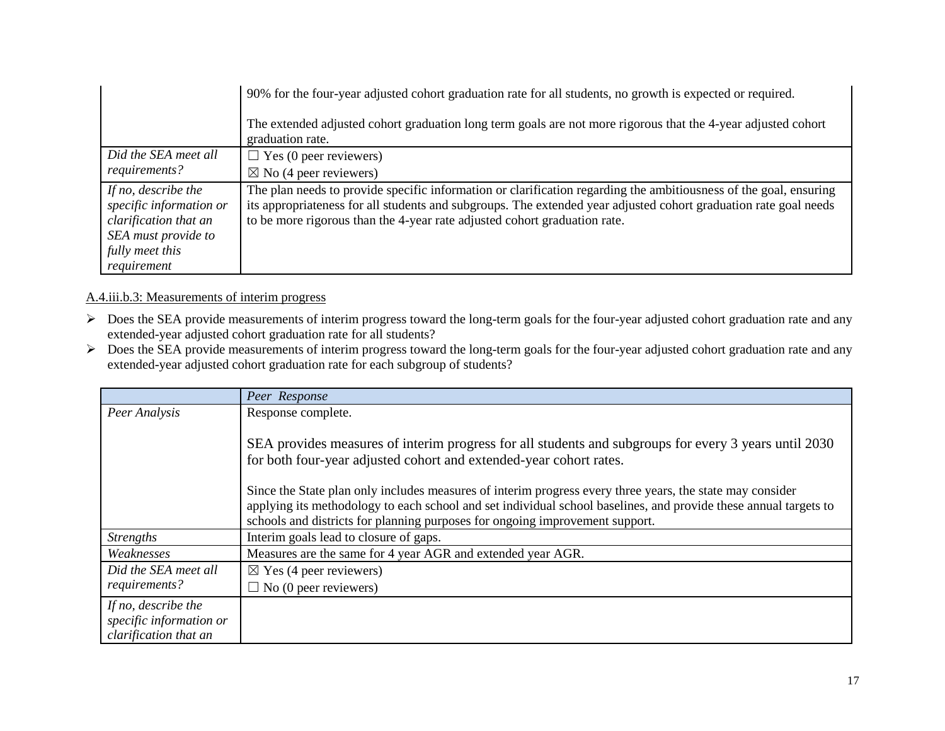|                                                                                                                                  | 90% for the four-year adjusted cohort graduation rate for all students, no growth is expected or required.                                                                                                                                                                                                         |
|----------------------------------------------------------------------------------------------------------------------------------|--------------------------------------------------------------------------------------------------------------------------------------------------------------------------------------------------------------------------------------------------------------------------------------------------------------------|
|                                                                                                                                  | The extended adjusted cohort graduation long term goals are not more rigorous that the 4-year adjusted cohort<br>graduation rate.                                                                                                                                                                                  |
| Did the SEA meet all                                                                                                             | $\Box$ Yes (0 peer reviewers)                                                                                                                                                                                                                                                                                      |
| requirements?                                                                                                                    | $\boxtimes$ No (4 peer reviewers)                                                                                                                                                                                                                                                                                  |
| If no, describe the<br>specific information or<br>clarification that an<br>SEA must provide to<br>fully meet this<br>requirement | The plan needs to provide specific information or clarification regarding the ambitiousness of the goal, ensuring<br>its appropriateness for all students and subgroups. The extended year adjusted cohort graduation rate goal needs<br>to be more rigorous than the 4-year rate adjusted cohort graduation rate. |

### A.4.iii.b.3: Measurements of interim progress

- > Does the SEA provide measurements of interim progress toward the long-term goals for the four-year adjusted cohort graduation rate and any extended-year adjusted cohort graduation rate for all students?
- Does the SEA provide measurements of interim progress toward the long-term goals for the four-year adjusted cohort graduation rate and any extended-year adjusted cohort graduation rate for each subgroup of students?

|                                                                         | Peer Response                                                                                                                                                                                    |
|-------------------------------------------------------------------------|--------------------------------------------------------------------------------------------------------------------------------------------------------------------------------------------------|
| Peer Analysis                                                           | Response complete.                                                                                                                                                                               |
|                                                                         | SEA provides measures of interim progress for all students and subgroups for every 3 years until 2030<br>for both four-year adjusted cohort and extended-year cohort rates.                      |
|                                                                         | Since the State plan only includes measures of interim progress every three years, the state may consider                                                                                        |
|                                                                         | applying its methodology to each school and set individual school baselines, and provide these annual targets to<br>schools and districts for planning purposes for ongoing improvement support. |
| <b>Strengths</b>                                                        | Interim goals lead to closure of gaps.                                                                                                                                                           |
| Weaknesses                                                              | Measures are the same for 4 year AGR and extended year AGR.                                                                                                                                      |
| Did the SEA meet all                                                    | $\boxtimes$ Yes (4 peer reviewers)                                                                                                                                                               |
| requirements?                                                           | $\Box$ No (0 peer reviewers)                                                                                                                                                                     |
| If no, describe the<br>specific information or<br>clarification that an |                                                                                                                                                                                                  |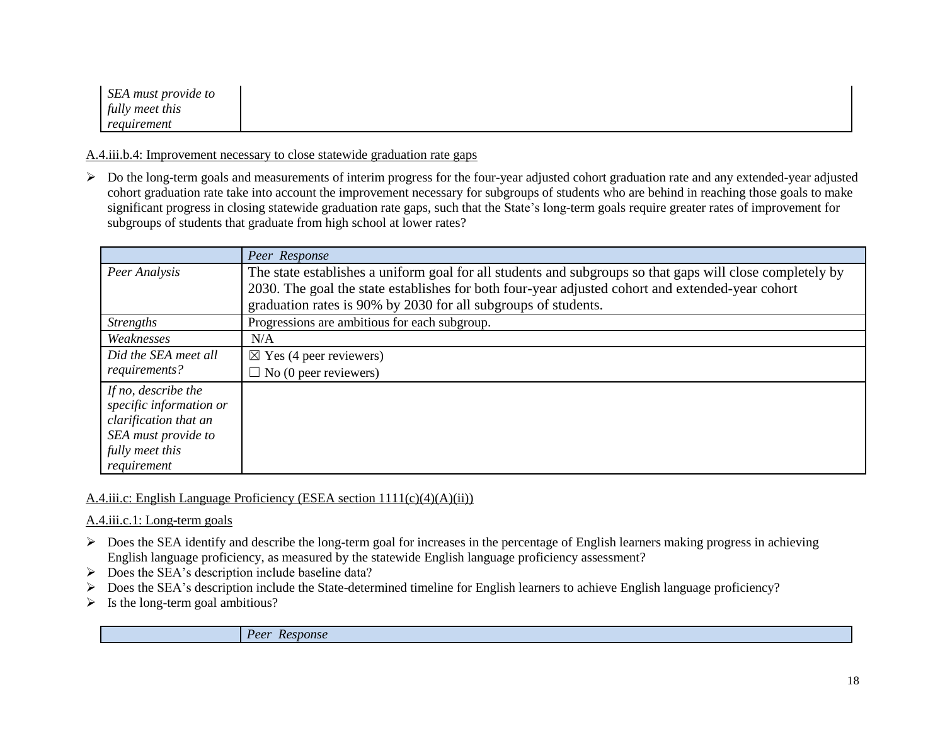| SEA must provide to |  |
|---------------------|--|
| fully meet this     |  |
| requirement         |  |

A.4.iii.b.4: Improvement necessary to close statewide graduation rate gaps

 $\triangleright$  Do the long-term goals and measurements of interim progress for the four-year adjusted cohort graduation rate and any extended-year adjusted cohort graduation rate take into account the improvement necessary for subgroups of students who are behind in reaching those goals to make significant progress in closing statewide graduation rate gaps, such that the State's long-term goals require greater rates of improvement for subgroups of students that graduate from high school at lower rates?

|                                                | Peer Response                                                                                                                                                                                                 |
|------------------------------------------------|---------------------------------------------------------------------------------------------------------------------------------------------------------------------------------------------------------------|
| Peer Analysis                                  | The state establishes a uniform goal for all students and subgroups so that gaps will close completely by<br>2030. The goal the state establishes for both four-year adjusted cohort and extended-year cohort |
|                                                | graduation rates is 90% by 2030 for all subgroups of students.                                                                                                                                                |
| <i>Strengths</i>                               | Progressions are ambitious for each subgroup.                                                                                                                                                                 |
| Weaknesses                                     | N/A                                                                                                                                                                                                           |
| Did the SEA meet all                           | $\boxtimes$ Yes (4 peer reviewers)                                                                                                                                                                            |
| requirements?                                  | $\Box$ No (0 peer reviewers)                                                                                                                                                                                  |
| If no, describe the<br>specific information or |                                                                                                                                                                                                               |
| clarification that an<br>SEA must provide to   |                                                                                                                                                                                                               |
| fully meet this<br>requirement                 |                                                                                                                                                                                                               |

A.4.iii.c: English Language Proficiency (ESEA section 1111(c)(4)(A)(ii))

A.4.iii.c.1: Long-term goals

- $\triangleright$  Does the SEA identify and describe the long-term goal for increases in the percentage of English learners making progress in achieving English language proficiency, as measured by the statewide English language proficiency assessment?
- $\triangleright$  Does the SEA's description include baseline data?
- Does the SEA's description include the State-determined timeline for English learners to achieve English language proficiency?
- $\triangleright$  Is the long-term goal ambitious?

*Peer Response*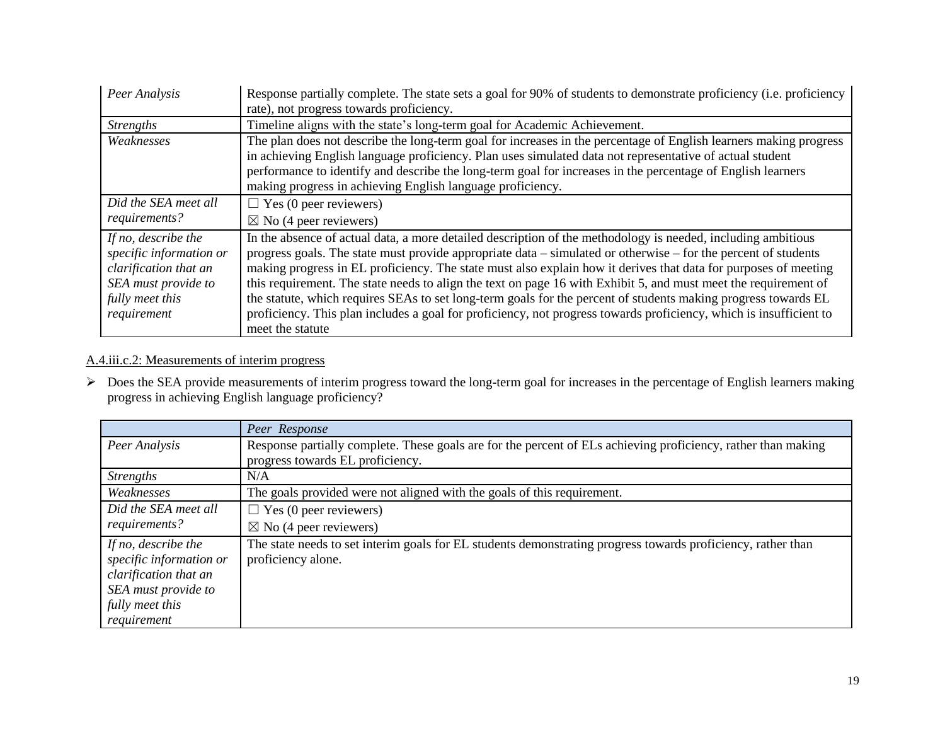| Peer Analysis           | Response partially complete. The state sets a goal for 90% of students to demonstrate proficiency (i.e. proficiency |
|-------------------------|---------------------------------------------------------------------------------------------------------------------|
|                         | rate), not progress towards proficiency.                                                                            |
| <i>Strengths</i>        | Timeline aligns with the state's long-term goal for Academic Achievement.                                           |
| Weaknesses              | The plan does not describe the long-term goal for increases in the percentage of English learners making progress   |
|                         | in achieving English language proficiency. Plan uses simulated data not representative of actual student            |
|                         | performance to identify and describe the long-term goal for increases in the percentage of English learners         |
|                         | making progress in achieving English language proficiency.                                                          |
| Did the SEA meet all    | $\Box$ Yes (0 peer reviewers)                                                                                       |
| requirements?           | $\boxtimes$ No (4 peer reviewers)                                                                                   |
| If no, describe the     | In the absence of actual data, a more detailed description of the methodology is needed, including ambitious        |
| specific information or | progress goals. The state must provide appropriate data – simulated or otherwise – for the percent of students      |
| clarification that an   | making progress in EL proficiency. The state must also explain how it derives that data for purposes of meeting     |
| SEA must provide to     | this requirement. The state needs to align the text on page 16 with Exhibit 5, and must meet the requirement of     |
| fully meet this         | the statute, which requires SEAs to set long-term goals for the percent of students making progress towards EL      |
| requirement             | proficiency. This plan includes a goal for proficiency, not progress towards proficiency, which is insufficient to  |
|                         | meet the statute                                                                                                    |

# A.4.iii.c.2: Measurements of interim progress

 $\triangleright$  Does the SEA provide measurements of interim progress toward the long-term goal for increases in the percentage of English learners making progress in achieving English language proficiency?

|                         | Peer Response                                                                                                 |
|-------------------------|---------------------------------------------------------------------------------------------------------------|
| Peer Analysis           | Response partially complete. These goals are for the percent of ELs achieving proficiency, rather than making |
|                         | progress towards EL proficiency.                                                                              |
| <b>Strengths</b>        | N/A                                                                                                           |
| Weaknesses              | The goals provided were not aligned with the goals of this requirement.                                       |
| Did the SEA meet all    | $\Box$ Yes (0 peer reviewers)                                                                                 |
| requirements?           | $\boxtimes$ No (4 peer reviewers)                                                                             |
| If no, describe the     | The state needs to set interim goals for EL students demonstrating progress towards proficiency, rather than  |
| specific information or | proficiency alone.                                                                                            |
| clarification that an   |                                                                                                               |
| SEA must provide to     |                                                                                                               |
| fully meet this         |                                                                                                               |
| requirement             |                                                                                                               |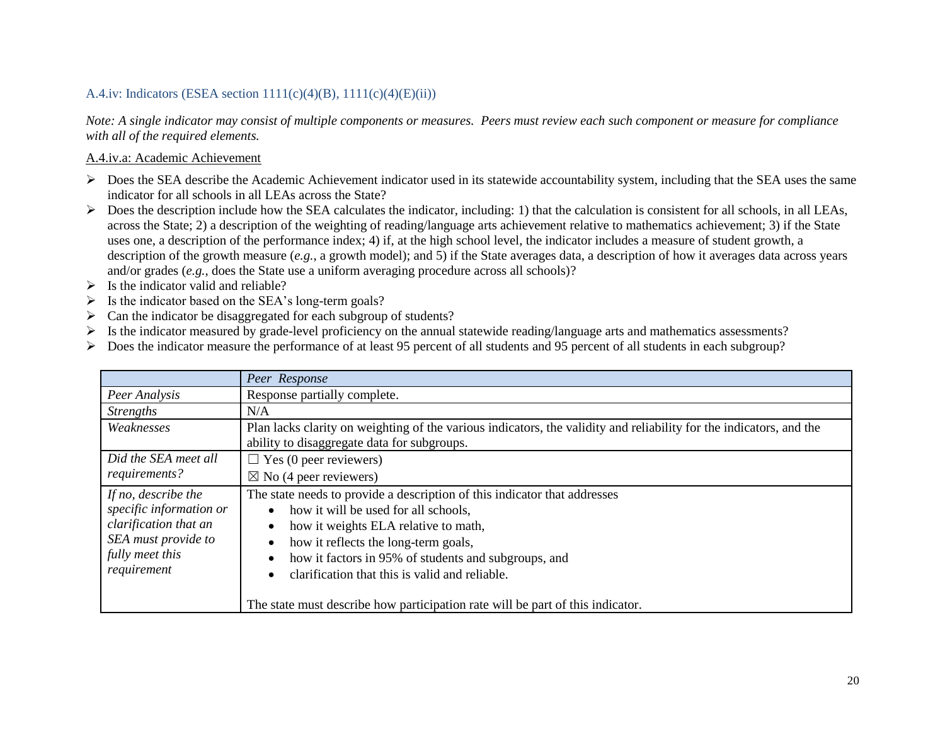## A.4.iv: Indicators (ESEA section  $1111(c)(4)(B)$ ,  $1111(c)(4)(E)(ii)$ )

*Note: A single indicator may consist of multiple components or measures. Peers must review each such component or measure for compliance with all of the required elements.*

#### A.4.iv.a: Academic Achievement

- $\triangleright$  Does the SEA describe the Academic Achievement indicator used in its statewide accountability system, including that the SEA uses the same indicator for all schools in all LEAs across the State?
- $\triangleright$  Does the description include how the SEA calculates the indicator, including: 1) that the calculation is consistent for all schools, in all LEAs, across the State; 2) a description of the weighting of reading/language arts achievement relative to mathematics achievement; 3) if the State uses one, a description of the performance index; 4) if, at the high school level, the indicator includes a measure of student growth, a description of the growth measure (*e.g.*, a growth model); and 5) if the State averages data, a description of how it averages data across years and/or grades (*e.g.*, does the State use a uniform averaging procedure across all schools)?
- $\triangleright$  Is the indicator valid and reliable?
- $\triangleright$  Is the indicator based on the SEA's long-term goals?
- $\triangleright$  Can the indicator be disaggregated for each subgroup of students?
- Is the indicator measured by grade-level proficiency on the annual statewide reading/language arts and mathematics assessments?
- Does the indicator measure the performance of at least 95 percent of all students and 95 percent of all students in each subgroup?

|                         | Peer Response                                                                                                       |
|-------------------------|---------------------------------------------------------------------------------------------------------------------|
| Peer Analysis           | Response partially complete.                                                                                        |
| <i>Strengths</i>        | N/A                                                                                                                 |
| Weaknesses              | Plan lacks clarity on weighting of the various indicators, the validity and reliability for the indicators, and the |
|                         | ability to disaggregate data for subgroups.                                                                         |
| Did the SEA meet all    | $\Box$ Yes (0 peer reviewers)                                                                                       |
| requirements?           | $\boxtimes$ No (4 peer reviewers)                                                                                   |
| If no, describe the     | The state needs to provide a description of this indicator that addresses                                           |
| specific information or | how it will be used for all schools,                                                                                |
| clarification that an   | how it weights ELA relative to math,                                                                                |
| SEA must provide to     | how it reflects the long-term goals,                                                                                |
| fully meet this         | how it factors in 95% of students and subgroups, and                                                                |
| requirement             | clarification that this is valid and reliable.                                                                      |
|                         | The state must describe how participation rate will be part of this indicator.                                      |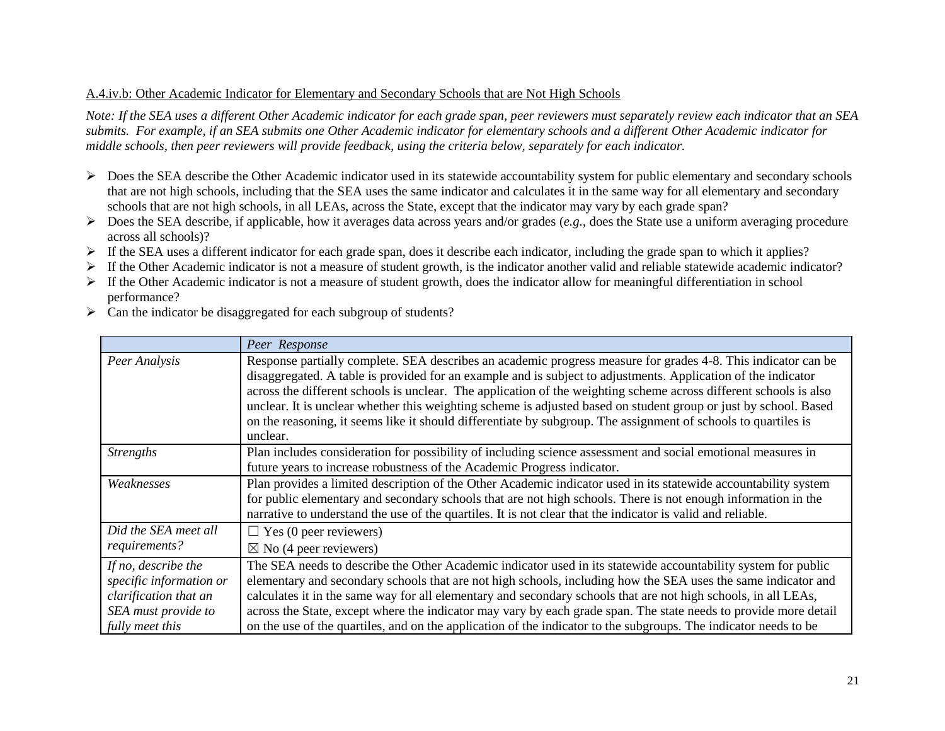### A.4.iv.b: Other Academic Indicator for Elementary and Secondary Schools that are Not High Schools

*Note: If the SEA uses a different Other Academic indicator for each grade span, peer reviewers must separately review each indicator that an SEA submits. For example, if an SEA submits one Other Academic indicator for elementary schools and a different Other Academic indicator for middle schools, then peer reviewers will provide feedback, using the criteria below, separately for each indicator.* 

- $\triangleright$  Does the SEA describe the Other Academic indicator used in its statewide accountability system for public elementary and secondary schools that are not high schools, including that the SEA uses the same indicator and calculates it in the same way for all elementary and secondary schools that are not high schools, in all LEAs, across the State, except that the indicator may vary by each grade span?
- $\triangleright$  Does the SEA describe, if applicable, how it averages data across years and/or grades (*e.g.*, does the State use a uniform averaging procedure across all schools)?
- $\triangleright$  If the SEA uses a different indicator for each grade span, does it describe each indicator, including the grade span to which it applies?
- $\triangleright$  If the Other Academic indicator is not a measure of student growth, is the indicator another valid and reliable statewide academic indicator?
- $\triangleright$  If the Other Academic indicator is not a measure of student growth, does the indicator allow for meaningful differentiation in school performance?
- $\triangleright$  Can the indicator be disaggregated for each subgroup of students?

|                                                                                                                   | Peer Response                                                                                                                                                                                                                                                                                                                                                                                                                                                                                                                                                                                         |
|-------------------------------------------------------------------------------------------------------------------|-------------------------------------------------------------------------------------------------------------------------------------------------------------------------------------------------------------------------------------------------------------------------------------------------------------------------------------------------------------------------------------------------------------------------------------------------------------------------------------------------------------------------------------------------------------------------------------------------------|
| Peer Analysis                                                                                                     | Response partially complete. SEA describes an academic progress measure for grades 4-8. This indicator can be<br>disaggregated. A table is provided for an example and is subject to adjustments. Application of the indicator<br>across the different schools is unclear. The application of the weighting scheme across different schools is also<br>unclear. It is unclear whether this weighting scheme is adjusted based on student group or just by school. Based<br>on the reasoning, it seems like it should differentiate by subgroup. The assignment of schools to quartiles is<br>unclear. |
| <b>Strengths</b>                                                                                                  | Plan includes consideration for possibility of including science assessment and social emotional measures in<br>future years to increase robustness of the Academic Progress indicator.                                                                                                                                                                                                                                                                                                                                                                                                               |
| Weaknesses                                                                                                        | Plan provides a limited description of the Other Academic indicator used in its statewide accountability system<br>for public elementary and secondary schools that are not high schools. There is not enough information in the<br>narrative to understand the use of the quartiles. It is not clear that the indicator is valid and reliable.                                                                                                                                                                                                                                                       |
| Did the SEA meet all<br>requirements?                                                                             | $\Box$ Yes (0 peer reviewers)<br>$\boxtimes$ No (4 peer reviewers)                                                                                                                                                                                                                                                                                                                                                                                                                                                                                                                                    |
| If no, describe the<br>specific information or<br>clarification that an<br>SEA must provide to<br>fully meet this | The SEA needs to describe the Other Academic indicator used in its statewide accountability system for public<br>elementary and secondary schools that are not high schools, including how the SEA uses the same indicator and<br>calculates it in the same way for all elementary and secondary schools that are not high schools, in all LEAs,<br>across the State, except where the indicator may vary by each grade span. The state needs to provide more detail<br>on the use of the quartiles, and on the application of the indicator to the subgroups. The indicator needs to be              |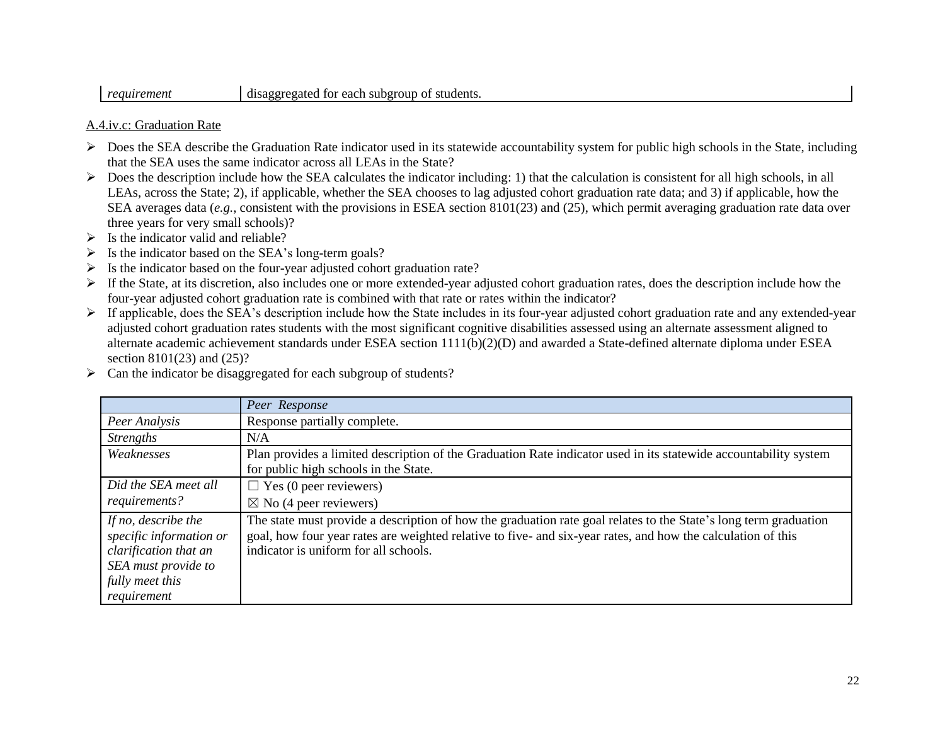# *requirement* disaggregated for each subgroup of students.

### A.4.iv.c: Graduation Rate

- $\triangleright$  Does the SEA describe the Graduation Rate indicator used in its statewide accountability system for public high schools in the State, including that the SEA uses the same indicator across all LEAs in the State?
- $\triangleright$  Does the description include how the SEA calculates the indicator including: 1) that the calculation is consistent for all high schools, in all LEAs, across the State; 2), if applicable, whether the SEA chooses to lag adjusted cohort graduation rate data; and 3) if applicable, how the SEA averages data (*e.g.*, consistent with the provisions in ESEA section 8101(23) and (25), which permit averaging graduation rate data over three years for very small schools)?
- $\triangleright$  Is the indicator valid and reliable?
- $\triangleright$  Is the indicator based on the SEA's long-term goals?
- $\triangleright$  Is the indicator based on the four-year adjusted cohort graduation rate?
- If the State, at its discretion, also includes one or more extended-year adjusted cohort graduation rates, does the description include how the four-year adjusted cohort graduation rate is combined with that rate or rates within the indicator?
- > If applicable, does the SEA's description include how the State includes in its four-year adjusted cohort graduation rate and any extended-year adjusted cohort graduation rates students with the most significant cognitive disabilities assessed using an alternate assessment aligned to alternate academic achievement standards under ESEA section 1111(b)(2)(D) and awarded a State-defined alternate diploma under ESEA section 8101(23) and (25)?
- $\triangleright$  Can the indicator be disaggregated for each subgroup of students?

|                                                                                                                                  | Peer Response                                                                                                                                                                                                                                                             |
|----------------------------------------------------------------------------------------------------------------------------------|---------------------------------------------------------------------------------------------------------------------------------------------------------------------------------------------------------------------------------------------------------------------------|
| Peer Analysis                                                                                                                    | Response partially complete.                                                                                                                                                                                                                                              |
| <b>Strengths</b>                                                                                                                 | N/A                                                                                                                                                                                                                                                                       |
| Weaknesses                                                                                                                       | Plan provides a limited description of the Graduation Rate indicator used in its statewide accountability system<br>for public high schools in the State.                                                                                                                 |
| Did the SEA meet all<br>requirements?                                                                                            | $\Box$ Yes (0 peer reviewers)<br>$\boxtimes$ No (4 peer reviewers)                                                                                                                                                                                                        |
| If no, describe the<br>specific information or<br>clarification that an<br>SEA must provide to<br>fully meet this<br>requirement | The state must provide a description of how the graduation rate goal relates to the State's long term graduation<br>goal, how four year rates are weighted relative to five- and six-year rates, and how the calculation of this<br>indicator is uniform for all schools. |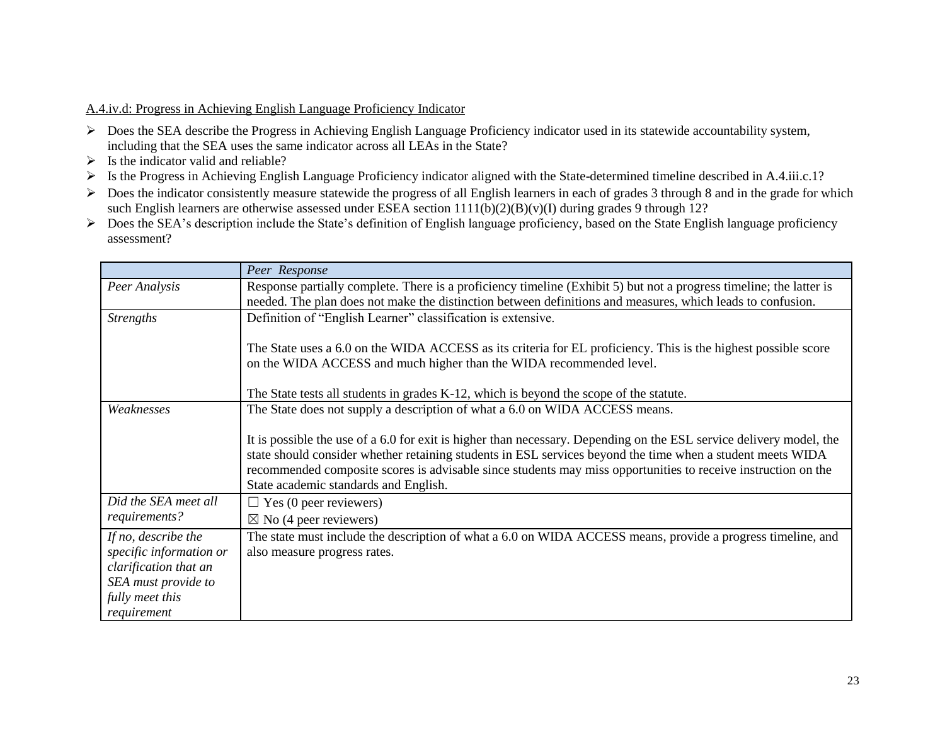## A.4.iv.d: Progress in Achieving English Language Proficiency Indicator

- Does the SEA describe the Progress in Achieving English Language Proficiency indicator used in its statewide accountability system, including that the SEA uses the same indicator across all LEAs in the State?
- $\triangleright$  Is the indicator valid and reliable?
- Is the Progress in Achieving English Language Proficiency indicator aligned with the State-determined timeline described in A.4.iii.c.1?
- $\triangleright$  Does the indicator consistently measure statewide the progress of all English learners in each of grades 3 through 8 and in the grade for which such English learners are otherwise assessed under ESEA section  $1111(b)(2)(B)(v)(I)$  during grades 9 through 12?
- Does the SEA's description include the State's definition of English language proficiency, based on the State English language proficiency assessment?

|                                                                                                                                  | Peer Response                                                                                                                                                                                                                                                                                                                                                                               |
|----------------------------------------------------------------------------------------------------------------------------------|---------------------------------------------------------------------------------------------------------------------------------------------------------------------------------------------------------------------------------------------------------------------------------------------------------------------------------------------------------------------------------------------|
| Peer Analysis                                                                                                                    | Response partially complete. There is a proficiency timeline (Exhibit 5) but not a progress timeline; the latter is<br>needed. The plan does not make the distinction between definitions and measures, which leads to confusion.                                                                                                                                                           |
| <b>Strengths</b>                                                                                                                 | Definition of "English Learner" classification is extensive.                                                                                                                                                                                                                                                                                                                                |
|                                                                                                                                  | The State uses a 6.0 on the WIDA ACCESS as its criteria for EL proficiency. This is the highest possible score<br>on the WIDA ACCESS and much higher than the WIDA recommended level.                                                                                                                                                                                                       |
|                                                                                                                                  | The State tests all students in grades K-12, which is beyond the scope of the statute.                                                                                                                                                                                                                                                                                                      |
| Weaknesses                                                                                                                       | The State does not supply a description of what a 6.0 on WIDA ACCESS means.                                                                                                                                                                                                                                                                                                                 |
|                                                                                                                                  | It is possible the use of a 6.0 for exit is higher than necessary. Depending on the ESL service delivery model, the<br>state should consider whether retaining students in ESL services beyond the time when a student meets WIDA<br>recommended composite scores is advisable since students may miss opportunities to receive instruction on the<br>State academic standards and English. |
| Did the SEA meet all                                                                                                             | $\Box$ Yes (0 peer reviewers)                                                                                                                                                                                                                                                                                                                                                               |
| requirements?                                                                                                                    | $\boxtimes$ No (4 peer reviewers)                                                                                                                                                                                                                                                                                                                                                           |
| If no, describe the<br>specific information or<br>clarification that an<br>SEA must provide to<br>fully meet this<br>requirement | The state must include the description of what a 6.0 on WIDA ACCESS means, provide a progress timeline, and<br>also measure progress rates.                                                                                                                                                                                                                                                 |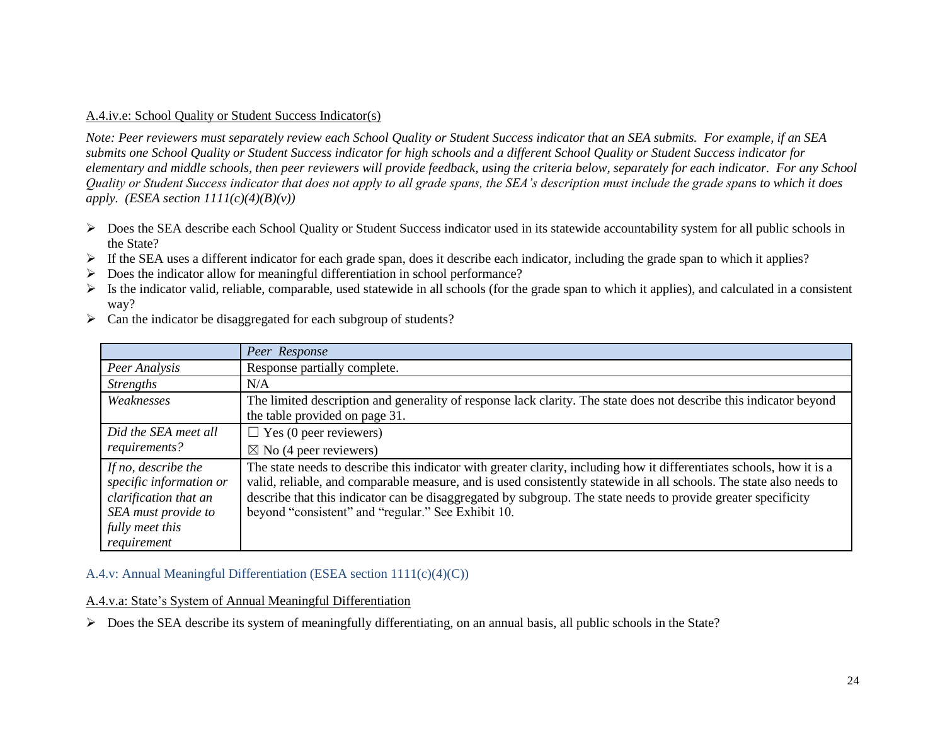#### A.4.iv.e: School Quality or Student Success Indicator(s)

*Note: Peer reviewers must separately review each School Quality or Student Success indicator that an SEA submits. For example, if an SEA submits one School Quality or Student Success indicator for high schools and a different School Quality or Student Success indicator for elementary and middle schools, then peer reviewers will provide feedback, using the criteria below, separately for each indicator. For any School Quality or Student Success indicator that does not apply to all grade spans, the SEA's description must include the grade spans to which it does apply.* (*ESEA section*  $1111(c)(4)(B)(v)$ *)* 

- $\triangleright$  Does the SEA describe each School Quality or Student Success indicator used in its statewide accountability system for all public schools in the State?
- If the SEA uses a different indicator for each grade span, does it describe each indicator, including the grade span to which it applies?
- $\triangleright$  Does the indicator allow for meaningful differentiation in school performance?
- $\triangleright$  Is the indicator valid, reliable, comparable, used statewide in all schools (for the grade span to which it applies), and calculated in a consistent way?

|                                                                                                                                  | Peer Response                                                                                                                                                                                                                                                                                                                                                                                                       |
|----------------------------------------------------------------------------------------------------------------------------------|---------------------------------------------------------------------------------------------------------------------------------------------------------------------------------------------------------------------------------------------------------------------------------------------------------------------------------------------------------------------------------------------------------------------|
| Peer Analysis                                                                                                                    | Response partially complete.                                                                                                                                                                                                                                                                                                                                                                                        |
| <i>Strengths</i>                                                                                                                 | N/A                                                                                                                                                                                                                                                                                                                                                                                                                 |
| Weaknesses                                                                                                                       | The limited description and generality of response lack clarity. The state does not describe this indicator beyond<br>the table provided on page 31.                                                                                                                                                                                                                                                                |
| Did the SEA meet all<br>requirements?                                                                                            | $\Box$ Yes (0 peer reviewers)<br>$\boxtimes$ No (4 peer reviewers)                                                                                                                                                                                                                                                                                                                                                  |
| If no, describe the<br>specific information or<br>clarification that an<br>SEA must provide to<br>fully meet this<br>requirement | The state needs to describe this indicator with greater clarity, including how it differentiates schools, how it is a<br>valid, reliable, and comparable measure, and is used consistently statewide in all schools. The state also needs to<br>describe that this indicator can be disaggregated by subgroup. The state needs to provide greater specificity<br>beyond "consistent" and "regular." See Exhibit 10. |

 $\triangleright$  Can the indicator be disaggregated for each subgroup of students?

### A.4.v: Annual Meaningful Differentiation (ESEA section 1111(c)(4)(C))

#### A.4.v.a: State's System of Annual Meaningful Differentiation

Does the SEA describe its system of meaningfully differentiating, on an annual basis, all public schools in the State?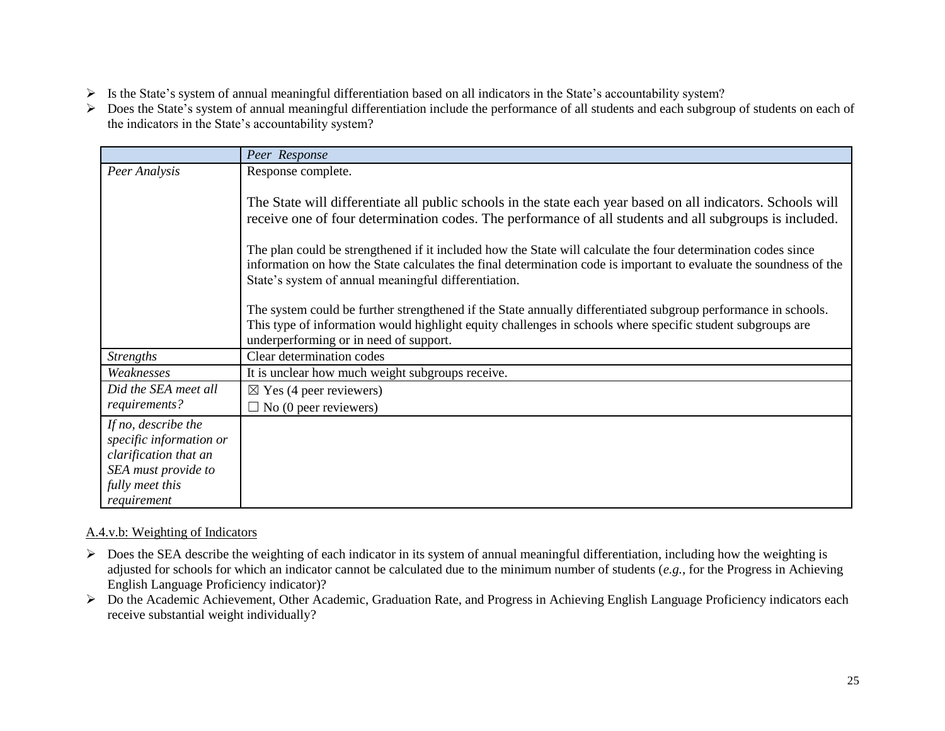- Is the State's system of annual meaningful differentiation based on all indicators in the State's accountability system?
- Does the State's system of annual meaningful differentiation include the performance of all students and each subgroup of students on each of the indicators in the State's accountability system?

|                                                                                                                                  | Peer Response                                                                                                                                                                                                                                                                               |
|----------------------------------------------------------------------------------------------------------------------------------|---------------------------------------------------------------------------------------------------------------------------------------------------------------------------------------------------------------------------------------------------------------------------------------------|
| Peer Analysis                                                                                                                    | Response complete.                                                                                                                                                                                                                                                                          |
|                                                                                                                                  | The State will differentiate all public schools in the state each year based on all indicators. Schools will<br>receive one of four determination codes. The performance of all students and all subgroups is included.                                                                     |
|                                                                                                                                  | The plan could be strengthened if it included how the State will calculate the four determination codes since<br>information on how the State calculates the final determination code is important to evaluate the soundness of the<br>State's system of annual meaningful differentiation. |
|                                                                                                                                  | The system could be further strengthened if the State annually differentiated subgroup performance in schools.<br>This type of information would highlight equity challenges in schools where specific student subgroups are<br>underperforming or in need of support.                      |
| <b>Strengths</b>                                                                                                                 | Clear determination codes                                                                                                                                                                                                                                                                   |
| Weaknesses                                                                                                                       | It is unclear how much weight subgroups receive.                                                                                                                                                                                                                                            |
| Did the SEA meet all                                                                                                             | $\boxtimes$ Yes (4 peer reviewers)                                                                                                                                                                                                                                                          |
| requirements?                                                                                                                    | $\Box$ No (0 peer reviewers)                                                                                                                                                                                                                                                                |
| If no, describe the<br>specific information or<br>clarification that an<br>SEA must provide to<br>fully meet this<br>requirement |                                                                                                                                                                                                                                                                                             |

### A.4.v.b: Weighting of Indicators

- $\triangleright$  Does the SEA describe the weighting of each indicator in its system of annual meaningful differentiation, including how the weighting is adjusted for schools for which an indicator cannot be calculated due to the minimum number of students (*e.g.*, for the Progress in Achieving English Language Proficiency indicator)?
- ▶ Do the Academic Achievement, Other Academic, Graduation Rate, and Progress in Achieving English Language Proficiency indicators each receive substantial weight individually?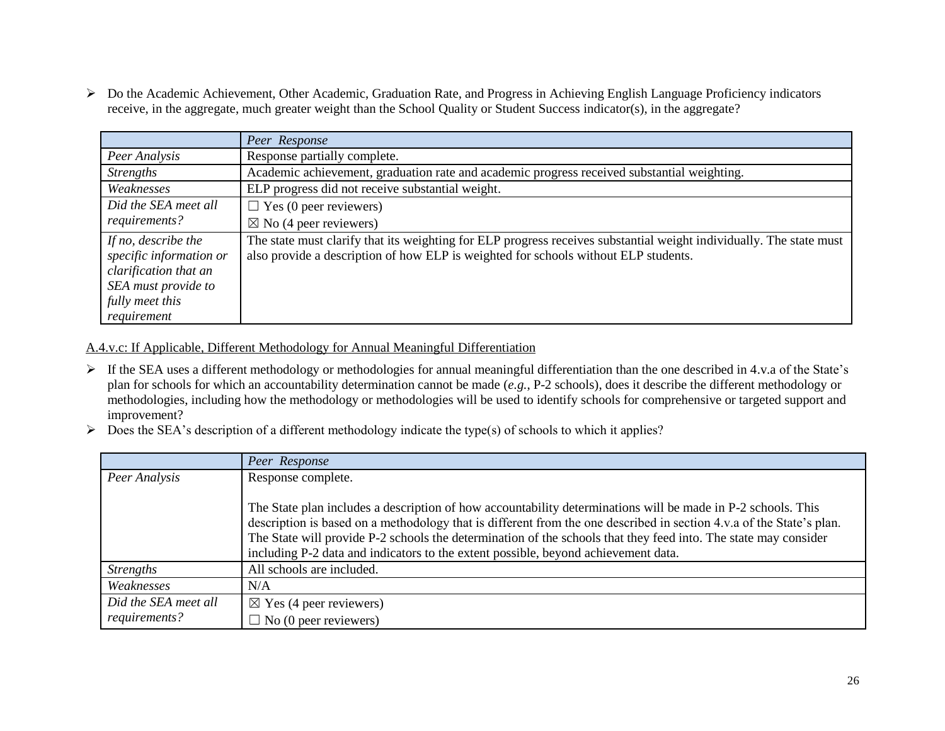Do the Academic Achievement, Other Academic, Graduation Rate, and Progress in Achieving English Language Proficiency indicators receive, in the aggregate, much greater weight than the School Quality or Student Success indicator(s), in the aggregate?

|                                                                                                                                  | Peer Response                                                                                                                                                                                              |
|----------------------------------------------------------------------------------------------------------------------------------|------------------------------------------------------------------------------------------------------------------------------------------------------------------------------------------------------------|
| Peer Analysis                                                                                                                    | Response partially complete.                                                                                                                                                                               |
| <b>Strengths</b>                                                                                                                 | Academic achievement, graduation rate and academic progress received substantial weighting.                                                                                                                |
| Weaknesses                                                                                                                       | ELP progress did not receive substantial weight.                                                                                                                                                           |
| Did the SEA meet all                                                                                                             | $\Box$ Yes (0 peer reviewers)                                                                                                                                                                              |
| requirements?                                                                                                                    | $\boxtimes$ No (4 peer reviewers)                                                                                                                                                                          |
| If no, describe the<br>specific information or<br>clarification that an<br>SEA must provide to<br>fully meet this<br>requirement | The state must clarify that its weighting for ELP progress receives substantial weight individually. The state must<br>also provide a description of how ELP is weighted for schools without ELP students. |

A.4.v.c: If Applicable, Different Methodology for Annual Meaningful Differentiation

- If the SEA uses a different methodology or methodologies for annual meaningful differentiation than the one described in 4.v.a of the State's plan for schools for which an accountability determination cannot be made (*e.g.*, P-2 schools), does it describe the different methodology or methodologies, including how the methodology or methodologies will be used to identify schools for comprehensive or targeted support and improvement?
- $\triangleright$  Does the SEA's description of a different methodology indicate the type(s) of schools to which it applies?

|                      | Peer Response                                                                                                                                                                                                                                                                                                                                                                                                                                 |
|----------------------|-----------------------------------------------------------------------------------------------------------------------------------------------------------------------------------------------------------------------------------------------------------------------------------------------------------------------------------------------------------------------------------------------------------------------------------------------|
| Peer Analysis        | Response complete.                                                                                                                                                                                                                                                                                                                                                                                                                            |
|                      | The State plan includes a description of how accountability determinations will be made in P-2 schools. This<br>description is based on a methodology that is different from the one described in section 4.v.a of the State's plan.<br>The State will provide P-2 schools the determination of the schools that they feed into. The state may consider<br>including P-2 data and indicators to the extent possible, beyond achievement data. |
| <b>Strengths</b>     | All schools are included.                                                                                                                                                                                                                                                                                                                                                                                                                     |
| Weaknesses           | N/A                                                                                                                                                                                                                                                                                                                                                                                                                                           |
| Did the SEA meet all | $\boxtimes$ Yes (4 peer reviewers)                                                                                                                                                                                                                                                                                                                                                                                                            |
| requirements?        | $\Box$ No (0 peer reviewers)                                                                                                                                                                                                                                                                                                                                                                                                                  |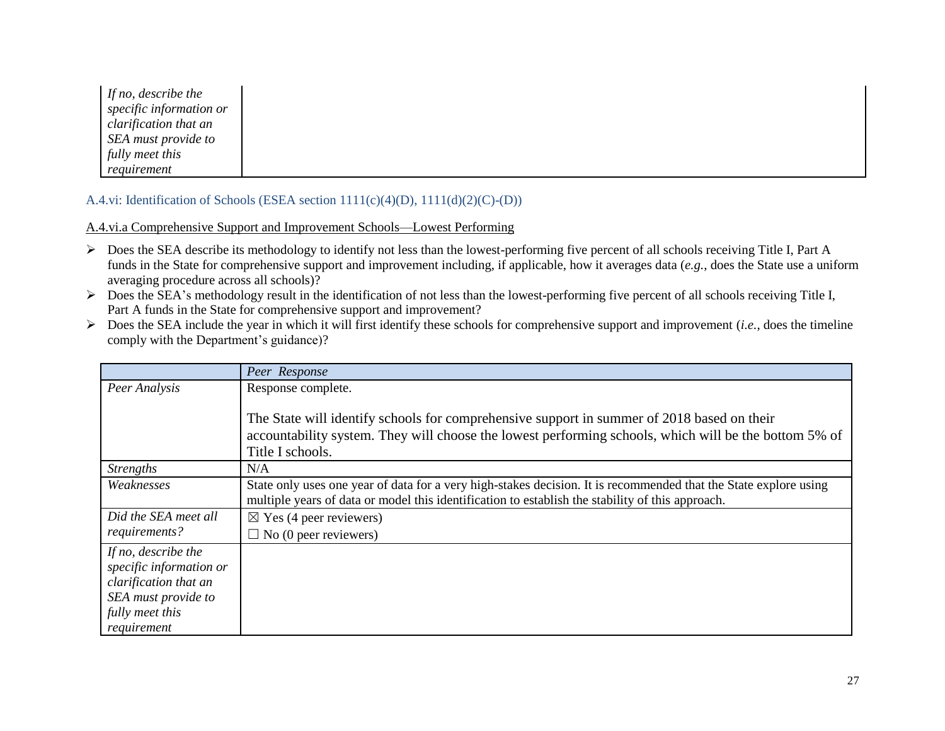*If no, describe the specific information or clarification that an SEA must provide to fully meet this requirement*

# A.4.vi: Identification of Schools (ESEA section 1111(c)(4)(D), 1111(d)(2)(C)-(D))

A.4.vi.a Comprehensive Support and Improvement Schools—Lowest Performing

- Does the SEA describe its methodology to identify not less than the lowest-performing five percent of all schools receiving Title I, Part A funds in the State for comprehensive support and improvement including, if applicable, how it averages data (*e.g.*, does the State use a uniform averaging procedure across all schools)?
- $\triangleright$  Does the SEA's methodology result in the identification of not less than the lowest-performing five percent of all schools receiving Title I, Part A funds in the State for comprehensive support and improvement?
- $\triangleright$  Does the SEA include the year in which it will first identify these schools for comprehensive support and improvement (*i.e.*, does the timeline comply with the Department's guidance)?

|                                                                                                                                  | Peer Response                                                                                                                                                                                                           |
|----------------------------------------------------------------------------------------------------------------------------------|-------------------------------------------------------------------------------------------------------------------------------------------------------------------------------------------------------------------------|
| Peer Analysis                                                                                                                    | Response complete.                                                                                                                                                                                                      |
|                                                                                                                                  | The State will identify schools for comprehensive support in summer of 2018 based on their<br>accountability system. They will choose the lowest performing schools, which will be the bottom 5% of<br>Title I schools. |
| <b>Strengths</b>                                                                                                                 | N/A                                                                                                                                                                                                                     |
| Weaknesses                                                                                                                       | State only uses one year of data for a very high-stakes decision. It is recommended that the State explore using<br>multiple years of data or model this identification to establish the stability of this approach.    |
| Did the SEA meet all<br>requirements?                                                                                            | $\boxtimes$ Yes (4 peer reviewers)<br>$\Box$ No (0 peer reviewers)                                                                                                                                                      |
| If no, describe the<br>specific information or<br>clarification that an<br>SEA must provide to<br>fully meet this<br>requirement |                                                                                                                                                                                                                         |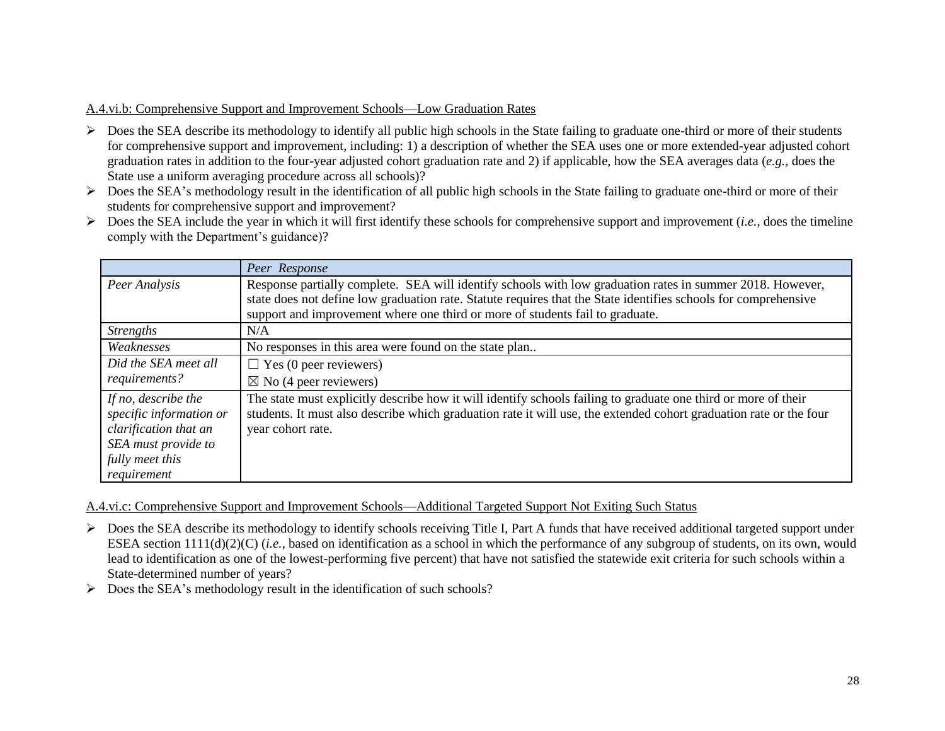## A.4.vi.b: Comprehensive Support and Improvement Schools—Low Graduation Rates

- $\triangleright$  Does the SEA describe its methodology to identify all public high schools in the State failing to graduate one-third or more of their students for comprehensive support and improvement, including: 1) a description of whether the SEA uses one or more extended-year adjusted cohort graduation rates in addition to the four-year adjusted cohort graduation rate and 2) if applicable, how the SEA averages data (*e.g.*, does the State use a uniform averaging procedure across all schools)?
- $\triangleright$  Does the SEA's methodology result in the identification of all public high schools in the State failing to graduate one-third or more of their students for comprehensive support and improvement?
- $\triangleright$  Does the SEA include the year in which it will first identify these schools for comprehensive support and improvement (*i.e.*, does the timeline comply with the Department's guidance)?

|                                                                                                                                  | Peer Response                                                                                                                                                                                                                                             |
|----------------------------------------------------------------------------------------------------------------------------------|-----------------------------------------------------------------------------------------------------------------------------------------------------------------------------------------------------------------------------------------------------------|
| Peer Analysis                                                                                                                    | Response partially complete. SEA will identify schools with low graduation rates in summer 2018. However,<br>state does not define low graduation rate. Statute requires that the State identifies schools for comprehensive                              |
|                                                                                                                                  | support and improvement where one third or more of students fail to graduate.                                                                                                                                                                             |
| <b>Strengths</b>                                                                                                                 | N/A                                                                                                                                                                                                                                                       |
| Weaknesses                                                                                                                       | No responses in this area were found on the state plan                                                                                                                                                                                                    |
| Did the SEA meet all                                                                                                             | $\Box$ Yes (0 peer reviewers)                                                                                                                                                                                                                             |
| requirements?                                                                                                                    | $\boxtimes$ No (4 peer reviewers)                                                                                                                                                                                                                         |
| If no, describe the<br>specific information or<br>clarification that an<br>SEA must provide to<br>fully meet this<br>requirement | The state must explicitly describe how it will identify schools failing to graduate one third or more of their<br>students. It must also describe which graduation rate it will use, the extended cohort graduation rate or the four<br>year cohort rate. |

A.4.vi.c: Comprehensive Support and Improvement Schools—Additional Targeted Support Not Exiting Such Status

- $\triangleright$  Does the SEA describe its methodology to identify schools receiving Title I, Part A funds that have received additional targeted support under ESEA section 1111(d)(2)(C) (*i.e.*, based on identification as a school in which the performance of any subgroup of students, on its own, would lead to identification as one of the lowest-performing five percent) that have not satisfied the statewide exit criteria for such schools within a State-determined number of years?
- $\triangleright$  Does the SEA's methodology result in the identification of such schools?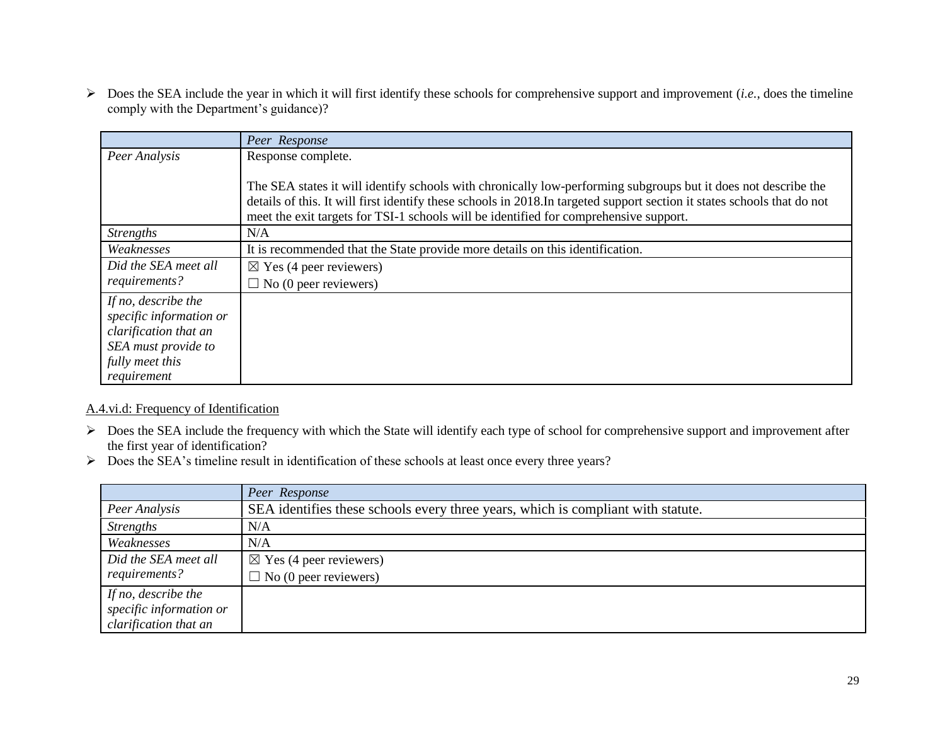Does the SEA include the year in which it will first identify these schools for comprehensive support and improvement (*i.e.*, does the timeline comply with the Department's guidance)?

|                         | Peer Response                                                                                                                                                                                                     |  |
|-------------------------|-------------------------------------------------------------------------------------------------------------------------------------------------------------------------------------------------------------------|--|
| Peer Analysis           | Response complete.                                                                                                                                                                                                |  |
|                         | The SEA states it will identify schools with chronically low-performing subgroups but it does not describe the                                                                                                    |  |
|                         | details of this. It will first identify these schools in 2018. In targeted support section it states schools that do not<br>meet the exit targets for TSI-1 schools will be identified for comprehensive support. |  |
| <b>Strengths</b>        | N/A                                                                                                                                                                                                               |  |
| Weaknesses              | It is recommended that the State provide more details on this identification.                                                                                                                                     |  |
| Did the SEA meet all    | $\boxtimes$ Yes (4 peer reviewers)                                                                                                                                                                                |  |
| requirements?           | $\Box$ No (0 peer reviewers)                                                                                                                                                                                      |  |
| If no, describe the     |                                                                                                                                                                                                                   |  |
| specific information or |                                                                                                                                                                                                                   |  |
| clarification that an   |                                                                                                                                                                                                                   |  |
| SEA must provide to     |                                                                                                                                                                                                                   |  |
| fully meet this         |                                                                                                                                                                                                                   |  |
| requirement             |                                                                                                                                                                                                                   |  |

## A.4.vi.d: Frequency of Identification

- $\triangleright$  Does the SEA include the frequency with which the State will identify each type of school for comprehensive support and improvement after the first year of identification?
- Does the SEA's timeline result in identification of these schools at least once every three years?

|                         | Peer Response                                                                    |
|-------------------------|----------------------------------------------------------------------------------|
| Peer Analysis           | SEA identifies these schools every three years, which is compliant with statute. |
| <i>Strengths</i>        | N/A                                                                              |
| Weaknesses              | N/A                                                                              |
| Did the SEA meet all    | $\boxtimes$ Yes (4 peer reviewers)                                               |
| requirements?           | $\Box$ No (0 peer reviewers)                                                     |
| If no, describe the     |                                                                                  |
| specific information or |                                                                                  |
| clarification that an   |                                                                                  |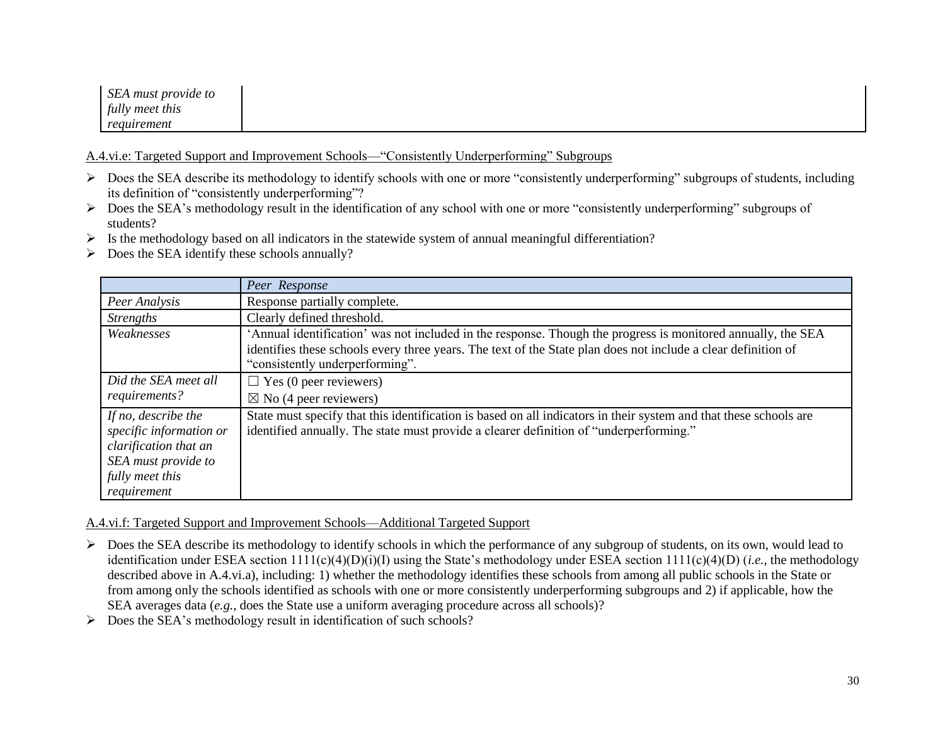| SEA must provide to |  |  |
|---------------------|--|--|
| fully meet this     |  |  |
| requirement         |  |  |

A.4.vi.e: Targeted Support and Improvement Schools—"Consistently Underperforming" Subgroups

- $\triangleright$  Does the SEA describe its methodology to identify schools with one or more "consistently underperforming" subgroups of students, including its definition of "consistently underperforming"?
- ▶ Does the SEA's methodology result in the identification of any school with one or more "consistently underperforming" subgroups of students?
- $\triangleright$  Is the methodology based on all indicators in the statewide system of annual meaningful differentiation?
- $\triangleright$  Does the SEA identify these schools annually?

|                                                                                                                                  | Peer Response                                                                                                                                                                                                                                                    |
|----------------------------------------------------------------------------------------------------------------------------------|------------------------------------------------------------------------------------------------------------------------------------------------------------------------------------------------------------------------------------------------------------------|
| Peer Analysis                                                                                                                    | Response partially complete.                                                                                                                                                                                                                                     |
| <i>Strengths</i>                                                                                                                 | Clearly defined threshold.                                                                                                                                                                                                                                       |
| Weaknesses                                                                                                                       | 'Annual identification' was not included in the response. Though the progress is monitored annually, the SEA<br>identifies these schools every three years. The text of the State plan does not include a clear definition of<br>"consistently underperforming". |
| Did the SEA meet all<br>requirements?                                                                                            | $\Box$ Yes (0 peer reviewers)<br>$\boxtimes$ No (4 peer reviewers)                                                                                                                                                                                               |
| If no, describe the<br>specific information or<br>clarification that an<br>SEA must provide to<br>fully meet this<br>requirement | State must specify that this identification is based on all indicators in their system and that these schools are<br>identified annually. The state must provide a clearer definition of "underperforming."                                                      |

A.4.vi.f: Targeted Support and Improvement Schools—Additional Targeted Support

- Does the SEA describe its methodology to identify schools in which the performance of any subgroup of students, on its own, would lead to identification under ESEA section 1111(c)(4)(D)(i)(I) using the State's methodology under ESEA section 1111(c)(4)(D) (*i.e.*, the methodology described above in A.4.vi.a), including: 1) whether the methodology identifies these schools from among all public schools in the State or from among only the schools identified as schools with one or more consistently underperforming subgroups and 2) if applicable, how the SEA averages data (*e.g.*, does the State use a uniform averaging procedure across all schools)?
- $\triangleright$  Does the SEA's methodology result in identification of such schools?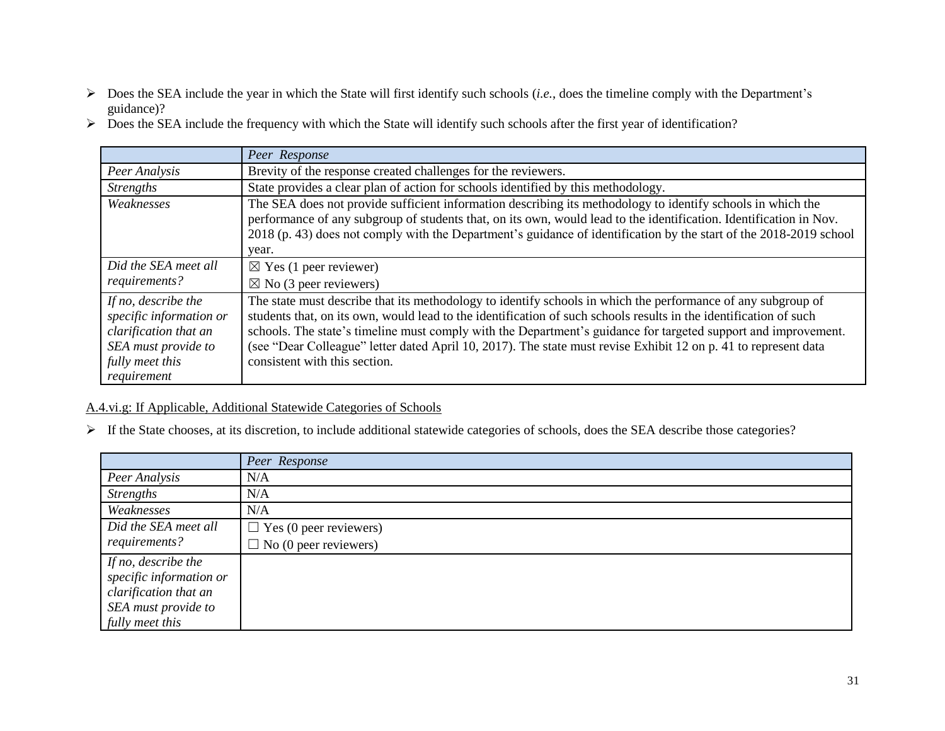- Does the SEA include the year in which the State will first identify such schools (*i.e.*, does the timeline comply with the Department's guidance)?
- $\triangleright$  Does the SEA include the frequency with which the State will identify such schools after the first year of identification?

|                                                                                                                                  | Peer Response                                                                                                                                                                                                                                                                                                                                                                                                                                                                                           |
|----------------------------------------------------------------------------------------------------------------------------------|---------------------------------------------------------------------------------------------------------------------------------------------------------------------------------------------------------------------------------------------------------------------------------------------------------------------------------------------------------------------------------------------------------------------------------------------------------------------------------------------------------|
| Peer Analysis                                                                                                                    | Brevity of the response created challenges for the reviewers.                                                                                                                                                                                                                                                                                                                                                                                                                                           |
| <i>Strengths</i>                                                                                                                 | State provides a clear plan of action for schools identified by this methodology.                                                                                                                                                                                                                                                                                                                                                                                                                       |
| Weaknesses                                                                                                                       | The SEA does not provide sufficient information describing its methodology to identify schools in which the<br>performance of any subgroup of students that, on its own, would lead to the identification. Identification in Nov.<br>2018 (p. 43) does not comply with the Department's guidance of identification by the start of the 2018-2019 school<br>year.                                                                                                                                        |
| Did the SEA meet all<br>requirements?                                                                                            | $\boxtimes$ Yes (1 peer reviewer)<br>$\boxtimes$ No (3 peer reviewers)                                                                                                                                                                                                                                                                                                                                                                                                                                  |
| If no, describe the<br>specific information or<br>clarification that an<br>SEA must provide to<br>fully meet this<br>requirement | The state must describe that its methodology to identify schools in which the performance of any subgroup of<br>students that, on its own, would lead to the identification of such schools results in the identification of such<br>schools. The state's timeline must comply with the Department's guidance for targeted support and improvement.<br>(see "Dear Colleague" letter dated April 10, 2017). The state must revise Exhibit 12 on p. 41 to represent data<br>consistent with this section. |

## A.4.vi.g: If Applicable, Additional Statewide Categories of Schools

If the State chooses, at its discretion, to include additional statewide categories of schools, does the SEA describe those categories?

|                                                                                                                   | Peer Response                 |
|-------------------------------------------------------------------------------------------------------------------|-------------------------------|
| Peer Analysis                                                                                                     | N/A                           |
| <b>Strengths</b>                                                                                                  | N/A                           |
| Weaknesses                                                                                                        | N/A                           |
| Did the SEA meet all                                                                                              | $\Box$ Yes (0 peer reviewers) |
| requirements?                                                                                                     | $\Box$ No (0 peer reviewers)  |
| If no, describe the<br>specific information or<br>clarification that an<br>SEA must provide to<br>fully meet this |                               |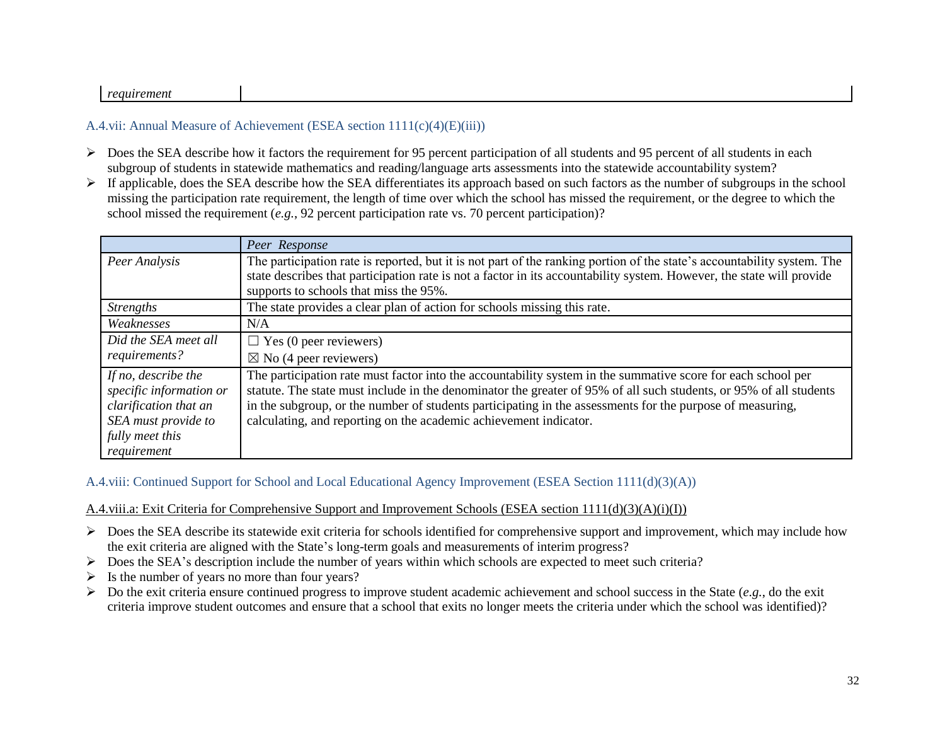#### *requirement*

### A.4.vii: Annual Measure of Achievement (ESEA section 1111(c)(4)(E)(iii))

- $\triangleright$  Does the SEA describe how it factors the requirement for 95 percent participation of all students and 95 percent of all students in each subgroup of students in statewide mathematics and reading/language arts assessments into the statewide accountability system?
- $\triangleright$  If applicable, does the SEA describe how the SEA differentiates its approach based on such factors as the number of subgroups in the school missing the participation rate requirement, the length of time over which the school has missed the requirement, or the degree to which the school missed the requirement (*e.g.*, 92 percent participation rate vs. 70 percent participation)?

|                                                                                                                                  | Peer Response                                                                                                                                                                                                                                                                                                                                                                                                        |
|----------------------------------------------------------------------------------------------------------------------------------|----------------------------------------------------------------------------------------------------------------------------------------------------------------------------------------------------------------------------------------------------------------------------------------------------------------------------------------------------------------------------------------------------------------------|
| Peer Analysis                                                                                                                    | The participation rate is reported, but it is not part of the ranking portion of the state's accountability system. The<br>state describes that participation rate is not a factor in its accountability system. However, the state will provide                                                                                                                                                                     |
|                                                                                                                                  | supports to schools that miss the 95%.                                                                                                                                                                                                                                                                                                                                                                               |
| <i>Strengths</i>                                                                                                                 | The state provides a clear plan of action for schools missing this rate.                                                                                                                                                                                                                                                                                                                                             |
| Weaknesses                                                                                                                       | N/A                                                                                                                                                                                                                                                                                                                                                                                                                  |
| Did the SEA meet all                                                                                                             | $\Box$ Yes (0 peer reviewers)                                                                                                                                                                                                                                                                                                                                                                                        |
| requirements?                                                                                                                    | $\boxtimes$ No (4 peer reviewers)                                                                                                                                                                                                                                                                                                                                                                                    |
| If no, describe the<br>specific information or<br>clarification that an<br>SEA must provide to<br>fully meet this<br>requirement | The participation rate must factor into the accountability system in the summative score for each school per<br>statute. The state must include in the denominator the greater of 95% of all such students, or 95% of all students<br>in the subgroup, or the number of students participating in the assessments for the purpose of measuring,<br>calculating, and reporting on the academic achievement indicator. |

#### A.4.viii: Continued Support for School and Local Educational Agency Improvement (ESEA Section 1111(d)(3)(A))

#### A.4.viii.a: Exit Criteria for Comprehensive Support and Improvement Schools (ESEA section 1111(d)(3)(A)(i)(I))

- $\triangleright$  Does the SEA describe its statewide exit criteria for schools identified for comprehensive support and improvement, which may include how the exit criteria are aligned with the State's long-term goals and measurements of interim progress?
- Does the SEA's description include the number of years within which schools are expected to meet such criteria?
- $\triangleright$  Is the number of years no more than four years?
- $\triangleright$  Do the exit criteria ensure continued progress to improve student academic achievement and school success in the State (*e.g.*, do the exit criteria improve student outcomes and ensure that a school that exits no longer meets the criteria under which the school was identified)?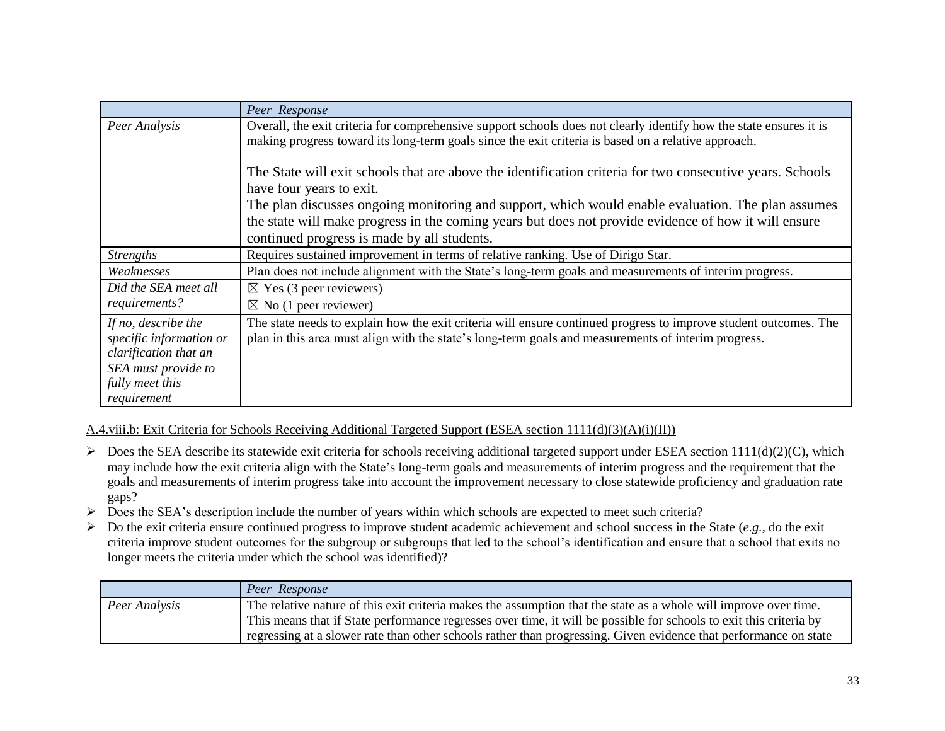|                                                                                                                                  | Peer Response                                                                                                                                                                                                                                             |
|----------------------------------------------------------------------------------------------------------------------------------|-----------------------------------------------------------------------------------------------------------------------------------------------------------------------------------------------------------------------------------------------------------|
| Peer Analysis                                                                                                                    | Overall, the exit criteria for comprehensive support schools does not clearly identify how the state ensures it is<br>making progress toward its long-term goals since the exit criteria is based on a relative approach.                                 |
|                                                                                                                                  | The State will exit schools that are above the identification criteria for two consecutive years. Schools<br>have four years to exit.                                                                                                                     |
|                                                                                                                                  | The plan discusses ongoing monitoring and support, which would enable evaluation. The plan assumes<br>the state will make progress in the coming years but does not provide evidence of how it will ensure<br>continued progress is made by all students. |
| <b>Strengths</b>                                                                                                                 | Requires sustained improvement in terms of relative ranking. Use of Dirigo Star.                                                                                                                                                                          |
| Weaknesses                                                                                                                       | Plan does not include alignment with the State's long-term goals and measurements of interim progress.                                                                                                                                                    |
| Did the SEA meet all<br>requirements?                                                                                            | $\boxtimes$ Yes (3 peer reviewers)<br>$\boxtimes$ No (1 peer reviewer)                                                                                                                                                                                    |
| If no, describe the<br>specific information or<br>clarification that an<br>SEA must provide to<br>fully meet this<br>requirement | The state needs to explain how the exit criteria will ensure continued progress to improve student outcomes. The<br>plan in this area must align with the state's long-term goals and measurements of interim progress.                                   |

A.4.viii.b: Exit Criteria for Schools Receiving Additional Targeted Support (ESEA section 1111(d)(3)(A)(i)(II))

- $\triangleright$  Does the SEA describe its statewide exit criteria for schools receiving additional targeted support under ESEA section 1111(d)(2)(C), which may include how the exit criteria align with the State's long-term goals and measurements of interim progress and the requirement that the goals and measurements of interim progress take into account the improvement necessary to close statewide proficiency and graduation rate gaps?
- Does the SEA's description include the number of years within which schools are expected to meet such criteria?
- Do the exit criteria ensure continued progress to improve student academic achievement and school success in the State (*e.g.*, do the exit criteria improve student outcomes for the subgroup or subgroups that led to the school's identification and ensure that a school that exits no longer meets the criteria under which the school was identified)?

|               | Peer Response                                                                                                      |
|---------------|--------------------------------------------------------------------------------------------------------------------|
| Peer Analysis | The relative nature of this exit criteria makes the assumption that the state as a whole will improve over time.   |
|               | This means that if State performance regresses over time, it will be possible for schools to exit this criteria by |
|               | regressing at a slower rate than other schools rather than progressing. Given evidence that performance on state   |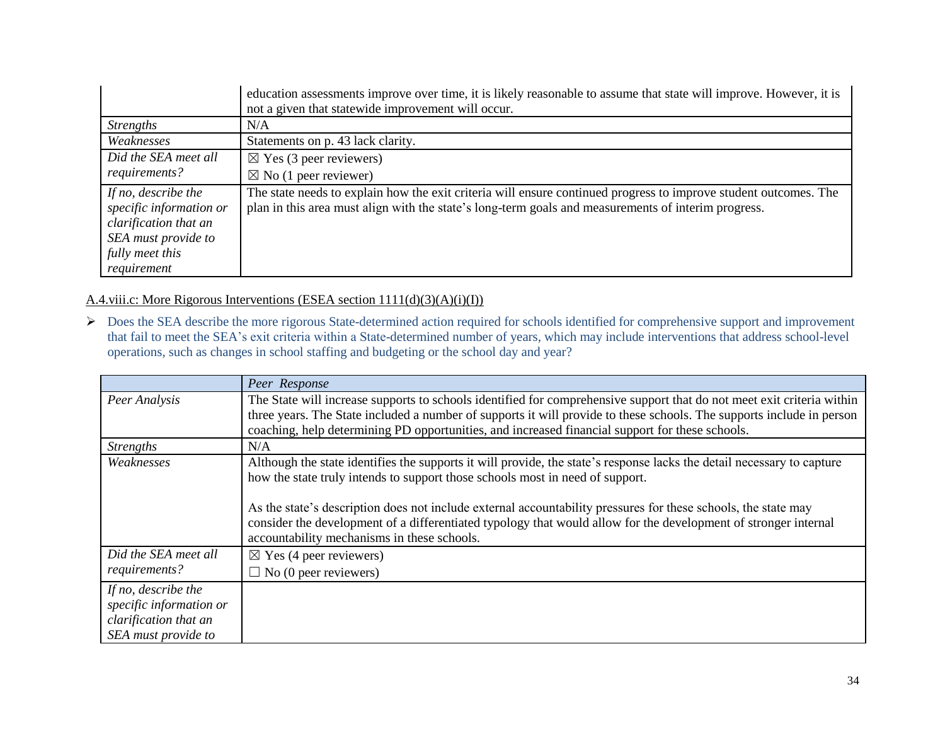|                                                                                                                                  | education assessments improve over time, it is likely reasonable to assume that state will improve. However, it is<br>not a given that statewide improvement will occur.                                                |
|----------------------------------------------------------------------------------------------------------------------------------|-------------------------------------------------------------------------------------------------------------------------------------------------------------------------------------------------------------------------|
| <i>Strengths</i>                                                                                                                 | N/A                                                                                                                                                                                                                     |
| Weaknesses                                                                                                                       | Statements on p. 43 lack clarity.                                                                                                                                                                                       |
| Did the SEA meet all                                                                                                             | $\boxtimes$ Yes (3 peer reviewers)                                                                                                                                                                                      |
| requirements?                                                                                                                    | $\boxtimes$ No (1 peer reviewer)                                                                                                                                                                                        |
| If no, describe the<br>specific information or<br>clarification that an<br>SEA must provide to<br>fully meet this<br>requirement | The state needs to explain how the exit criteria will ensure continued progress to improve student outcomes. The<br>plan in this area must align with the state's long-term goals and measurements of interim progress. |

A.4.viii.c: More Rigorous Interventions (ESEA section 1111(d)(3)(A)(i)(I))

 Does the SEA describe the more rigorous State-determined action required for schools identified for comprehensive support and improvement that fail to meet the SEA's exit criteria within a State-determined number of years, which may include interventions that address school-level operations, such as changes in school staffing and budgeting or the school day and year?

|                                                                                                | Peer Response                                                                                                                                                                                                                                                                                                                                                                                                                                                                               |
|------------------------------------------------------------------------------------------------|---------------------------------------------------------------------------------------------------------------------------------------------------------------------------------------------------------------------------------------------------------------------------------------------------------------------------------------------------------------------------------------------------------------------------------------------------------------------------------------------|
| Peer Analysis                                                                                  | The State will increase supports to schools identified for comprehensive support that do not meet exit criteria within<br>three years. The State included a number of supports it will provide to these schools. The supports include in person<br>coaching, help determining PD opportunities, and increased financial support for these schools.                                                                                                                                          |
| <b>Strengths</b>                                                                               | N/A                                                                                                                                                                                                                                                                                                                                                                                                                                                                                         |
| Weaknesses                                                                                     | Although the state identifies the supports it will provide, the state's response lacks the detail necessary to capture<br>how the state truly intends to support those schools most in need of support.<br>As the state's description does not include external accountability pressures for these schools, the state may<br>consider the development of a differentiated typology that would allow for the development of stronger internal<br>accountability mechanisms in these schools. |
| Did the SEA meet all                                                                           | $\boxtimes$ Yes (4 peer reviewers)                                                                                                                                                                                                                                                                                                                                                                                                                                                          |
| requirements?                                                                                  | $\Box$ No (0 peer reviewers)                                                                                                                                                                                                                                                                                                                                                                                                                                                                |
| If no, describe the<br>specific information or<br>clarification that an<br>SEA must provide to |                                                                                                                                                                                                                                                                                                                                                                                                                                                                                             |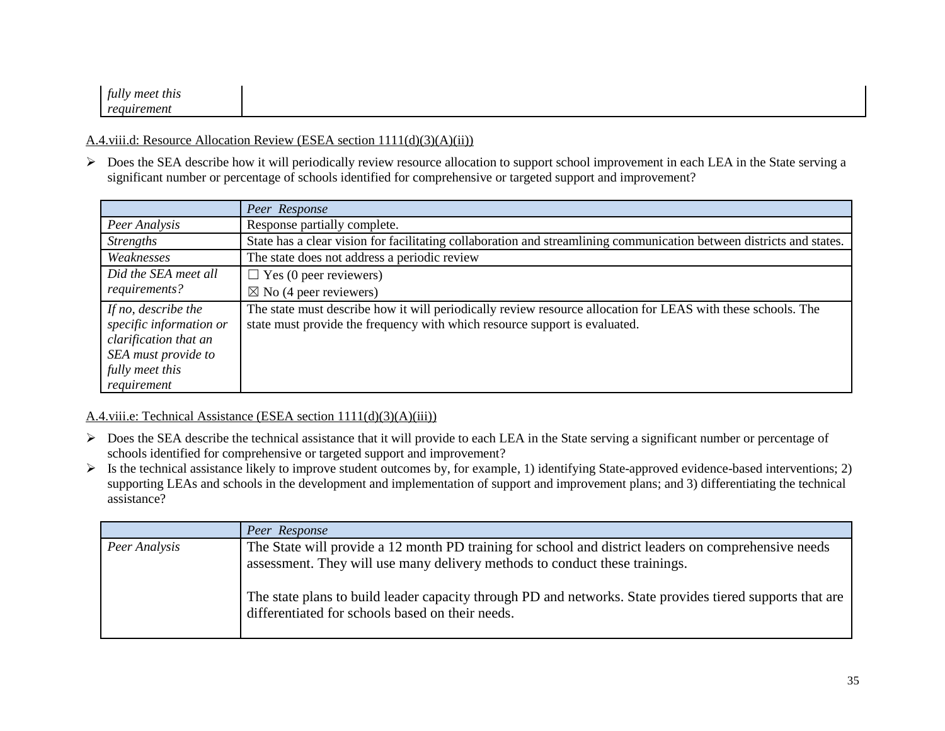| . .<br>fully meet this<br>$\cdot$ |  |  |
|-----------------------------------|--|--|
| uremeni<br>$\mathbf{v}$<br>AU -   |  |  |

#### A.4.viii.d: Resource Allocation Review (ESEA section 1111(d)(3)(A)(ii))

 $\triangleright$  Does the SEA describe how it will periodically review resource allocation to support school improvement in each LEA in the State serving a significant number or percentage of schools identified for comprehensive or targeted support and improvement?

|                                                                                                                                  | Peer Response                                                                                                                                                                              |
|----------------------------------------------------------------------------------------------------------------------------------|--------------------------------------------------------------------------------------------------------------------------------------------------------------------------------------------|
| Peer Analysis                                                                                                                    | Response partially complete.                                                                                                                                                               |
| <b>Strengths</b>                                                                                                                 | State has a clear vision for facilitating collaboration and streamlining communication between districts and states.                                                                       |
| Weaknesses                                                                                                                       | The state does not address a periodic review                                                                                                                                               |
| Did the SEA meet all                                                                                                             | $\Box$ Yes (0 peer reviewers)                                                                                                                                                              |
| requirements?                                                                                                                    | $\boxtimes$ No (4 peer reviewers)                                                                                                                                                          |
| If no, describe the<br>specific information or<br>clarification that an<br>SEA must provide to<br>fully meet this<br>requirement | The state must describe how it will periodically review resource allocation for LEAS with these schools. The<br>state must provide the frequency with which resource support is evaluated. |

#### A.4.viii.e: Technical Assistance (ESEA section 1111(d)(3)(A)(iii))

- $\triangleright$  Does the SEA describe the technical assistance that it will provide to each LEA in the State serving a significant number or percentage of schools identified for comprehensive or targeted support and improvement?
- $\triangleright$  Is the technical assistance likely to improve student outcomes by, for example, 1) identifying State-approved evidence-based interventions; 2) supporting LEAs and schools in the development and implementation of support and improvement plans; and 3) differentiating the technical assistance?

|               | Peer Response                                                                                                                                                                       |
|---------------|-------------------------------------------------------------------------------------------------------------------------------------------------------------------------------------|
| Peer Analysis | The State will provide a 12 month PD training for school and district leaders on comprehensive needs<br>assessment. They will use many delivery methods to conduct these trainings. |
|               | The state plans to build leader capacity through PD and networks. State provides tiered supports that are<br>differentiated for schools based on their needs.                       |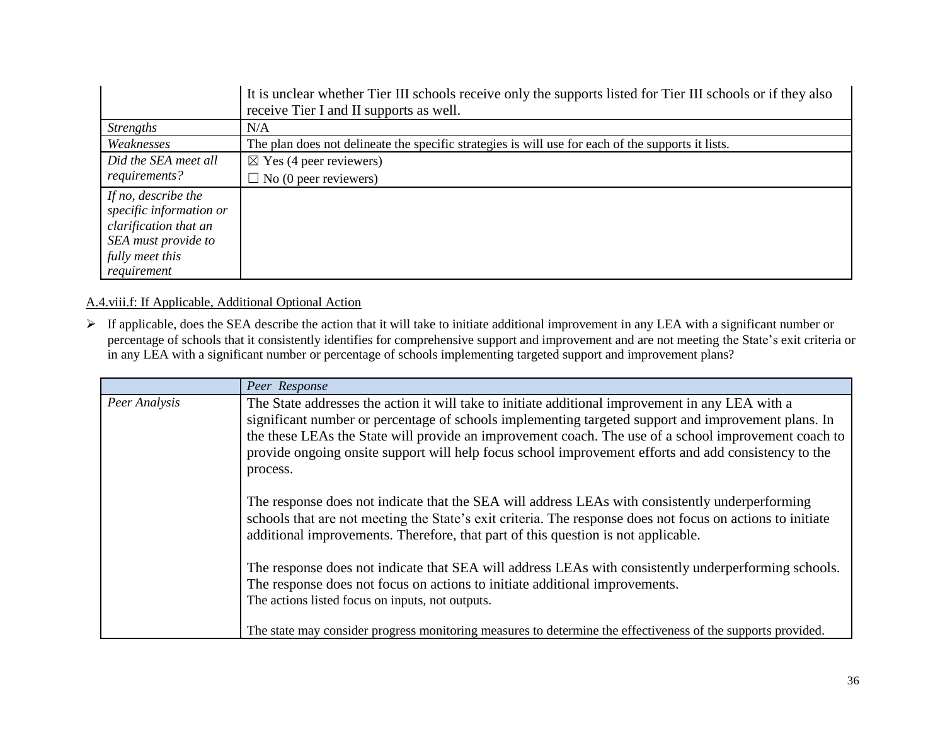|                         | It is unclear whether Tier III schools receive only the supports listed for Tier III schools or if they also |
|-------------------------|--------------------------------------------------------------------------------------------------------------|
|                         | receive Tier I and II supports as well.                                                                      |
| <i>Strengths</i>        | N/A                                                                                                          |
| Weaknesses              | The plan does not delineate the specific strategies is will use for each of the supports it lists.           |
| Did the SEA meet all    | $\boxtimes$ Yes (4 peer reviewers)                                                                           |
| requirements?           | $\Box$ No (0 peer reviewers)                                                                                 |
| If no, describe the     |                                                                                                              |
| specific information or |                                                                                                              |
| clarification that an   |                                                                                                              |
| SEA must provide to     |                                                                                                              |
| fully meet this         |                                                                                                              |
| requirement             |                                                                                                              |

## A.4.viii.f: If Applicable, Additional Optional Action

 If applicable, does the SEA describe the action that it will take to initiate additional improvement in any LEA with a significant number or percentage of schools that it consistently identifies for comprehensive support and improvement and are not meeting the State's exit criteria or in any LEA with a significant number or percentage of schools implementing targeted support and improvement plans?

|               | Peer Response                                                                                                                                                                                                                                                                                                                                                                                                                       |
|---------------|-------------------------------------------------------------------------------------------------------------------------------------------------------------------------------------------------------------------------------------------------------------------------------------------------------------------------------------------------------------------------------------------------------------------------------------|
| Peer Analysis | The State addresses the action it will take to initiate additional improvement in any LEA with a<br>significant number or percentage of schools implementing targeted support and improvement plans. In<br>the these LEAs the State will provide an improvement coach. The use of a school improvement coach to<br>provide ongoing onsite support will help focus school improvement efforts and add consistency to the<br>process. |
|               | The response does not indicate that the SEA will address LEAs with consistently underperforming<br>schools that are not meeting the State's exit criteria. The response does not focus on actions to initiate<br>additional improvements. Therefore, that part of this question is not applicable.                                                                                                                                  |
|               | The response does not indicate that SEA will address LEAs with consistently underperforming schools.<br>The response does not focus on actions to initiate additional improvements.<br>The actions listed focus on inputs, not outputs.                                                                                                                                                                                             |
|               | The state may consider progress monitoring measures to determine the effectiveness of the supports provided.                                                                                                                                                                                                                                                                                                                        |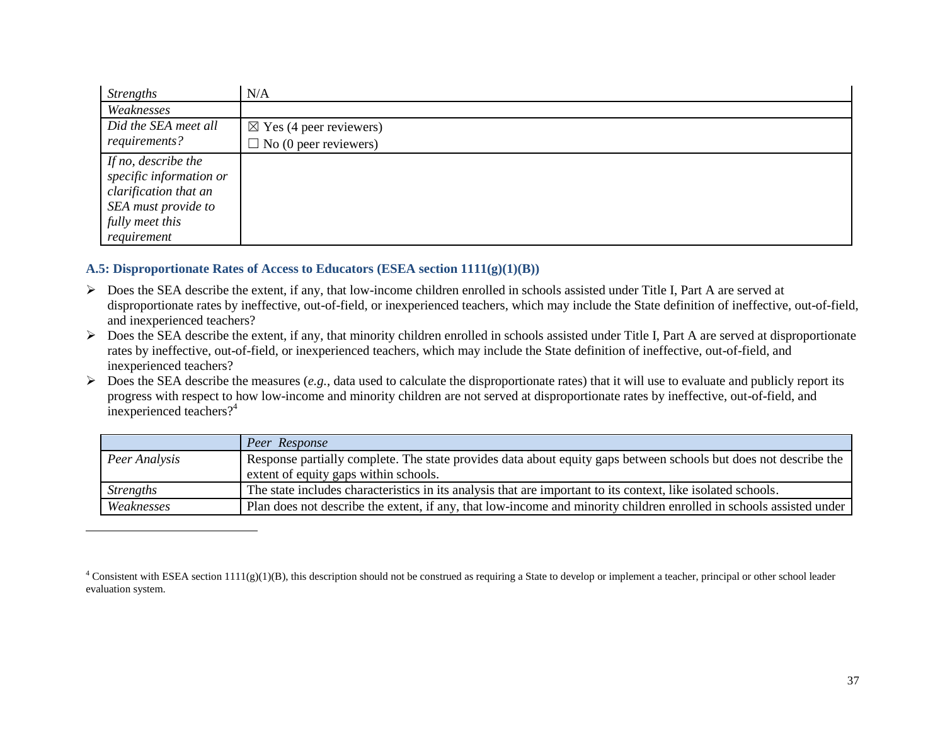| <b>Strengths</b>        | N/A                                |
|-------------------------|------------------------------------|
| Weaknesses              |                                    |
| Did the SEA meet all    | $\boxtimes$ Yes (4 peer reviewers) |
| requirements?           | $\Box$ No (0 peer reviewers)       |
| If no, describe the     |                                    |
| specific information or |                                    |
| clarification that an   |                                    |
| SEA must provide to     |                                    |
| fully meet this         |                                    |
| requirement             |                                    |

#### **A.5: Disproportionate Rates of Access to Educators (ESEA section 1111(g)(1)(B))**

 $\overline{a}$ 

- Does the SEA describe the extent, if any, that low-income children enrolled in schools assisted under Title I, Part A are served at disproportionate rates by ineffective, out-of-field, or inexperienced teachers, which may include the State definition of ineffective, out-of-field, and inexperienced teachers?
- $\triangleright$  Does the SEA describe the extent, if any, that minority children enrolled in schools assisted under Title I, Part A are served at disproportionate rates by ineffective, out-of-field, or inexperienced teachers, which may include the State definition of ineffective, out-of-field, and inexperienced teachers?
- $\triangleright$  Does the SEA describe the measures (*e.g.*, data used to calculate the disproportionate rates) that it will use to evaluate and publicly report its progress with respect to how low-income and minority children are not served at disproportionate rates by ineffective, out-of-field, and inexperienced teachers?<sup>4</sup>

|                  | Peer Response                                                                                                       |  |
|------------------|---------------------------------------------------------------------------------------------------------------------|--|
| Peer Analysis    | Response partially complete. The state provides data about equity gaps between schools but does not describe the    |  |
|                  | extent of equity gaps within schools.                                                                               |  |
| <b>Strengths</b> | The state includes characteristics in its analysis that are important to its context, like isolated schools.        |  |
| Weaknesses       | Plan does not describe the extent, if any, that low-income and minority children enrolled in schools assisted under |  |

<sup>&</sup>lt;sup>4</sup> Consistent with ESEA section 1111(g)(1)(B), this description should not be construed as requiring a State to develop or implement a teacher, principal or other school leader evaluation system.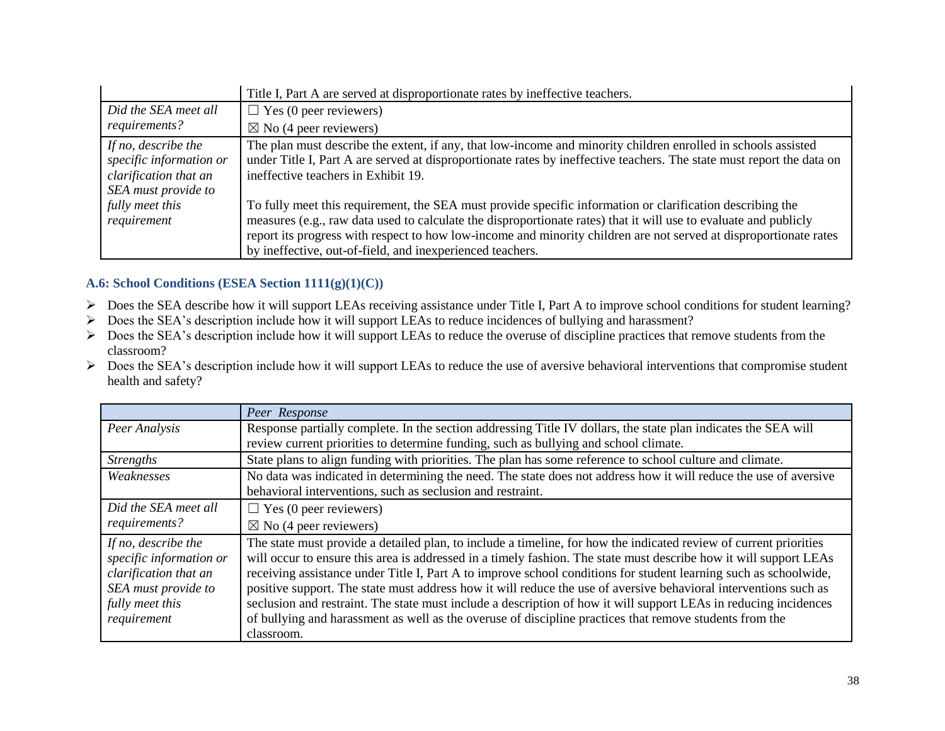|                                                                                                | Title I, Part A are served at disproportionate rates by ineffective teachers.                                                                                                                                                                                                                                                                                                                                   |
|------------------------------------------------------------------------------------------------|-----------------------------------------------------------------------------------------------------------------------------------------------------------------------------------------------------------------------------------------------------------------------------------------------------------------------------------------------------------------------------------------------------------------|
| Did the SEA meet all                                                                           | $\Box$ Yes (0 peer reviewers)                                                                                                                                                                                                                                                                                                                                                                                   |
| requirements?                                                                                  | $\boxtimes$ No (4 peer reviewers)                                                                                                                                                                                                                                                                                                                                                                               |
| If no, describe the<br>specific information or<br>clarification that an<br>SEA must provide to | The plan must describe the extent, if any, that low-income and minority children enrolled in schools assisted<br>under Title I, Part A are served at disproportionate rates by ineffective teachers. The state must report the data on<br>ineffective teachers in Exhibit 19.                                                                                                                                   |
| fully meet this<br>requirement                                                                 | To fully meet this requirement, the SEA must provide specific information or clarification describing the<br>measures (e.g., raw data used to calculate the disproportionate rates) that it will use to evaluate and publicly<br>report its progress with respect to how low-income and minority children are not served at disproportionate rates<br>by ineffective, out-of-field, and inexperienced teachers. |

## **A.6: School Conditions (ESEA Section 1111(g)(1)(C))**

- ▶ Does the SEA describe how it will support LEAs receiving assistance under Title I, Part A to improve school conditions for student learning?
- Does the SEA's description include how it will support LEAs to reduce incidences of bullying and harassment?
- Does the SEA's description include how it will support LEAs to reduce the overuse of discipline practices that remove students from the classroom?
- $\triangleright$  Does the SEA's description include how it will support LEAs to reduce the use of aversive behavioral interventions that compromise student health and safety?

|                         | Peer Response                                                                                                     |
|-------------------------|-------------------------------------------------------------------------------------------------------------------|
| Peer Analysis           | Response partially complete. In the section addressing Title IV dollars, the state plan indicates the SEA will    |
|                         | review current priorities to determine funding, such as bullying and school climate.                              |
| <b>Strengths</b>        | State plans to align funding with priorities. The plan has some reference to school culture and climate.          |
| Weaknesses              | No data was indicated in determining the need. The state does not address how it will reduce the use of aversive  |
|                         | behavioral interventions, such as seclusion and restraint.                                                        |
| Did the SEA meet all    | $\Box$ Yes (0 peer reviewers)                                                                                     |
| requirements?           | $\boxtimes$ No (4 peer reviewers)                                                                                 |
| If no, describe the     | The state must provide a detailed plan, to include a timeline, for how the indicated review of current priorities |
| specific information or | will occur to ensure this area is addressed in a timely fashion. The state must describe how it will support LEAs |
| clarification that an   | receiving assistance under Title I, Part A to improve school conditions for student learning such as schoolwide,  |
| SEA must provide to     | positive support. The state must address how it will reduce the use of aversive behavioral interventions such as  |
| fully meet this         | seclusion and restraint. The state must include a description of how it will support LEAs in reducing incidences  |
| requirement             | of bullying and harassment as well as the overuse of discipline practices that remove students from the           |
|                         | classroom.                                                                                                        |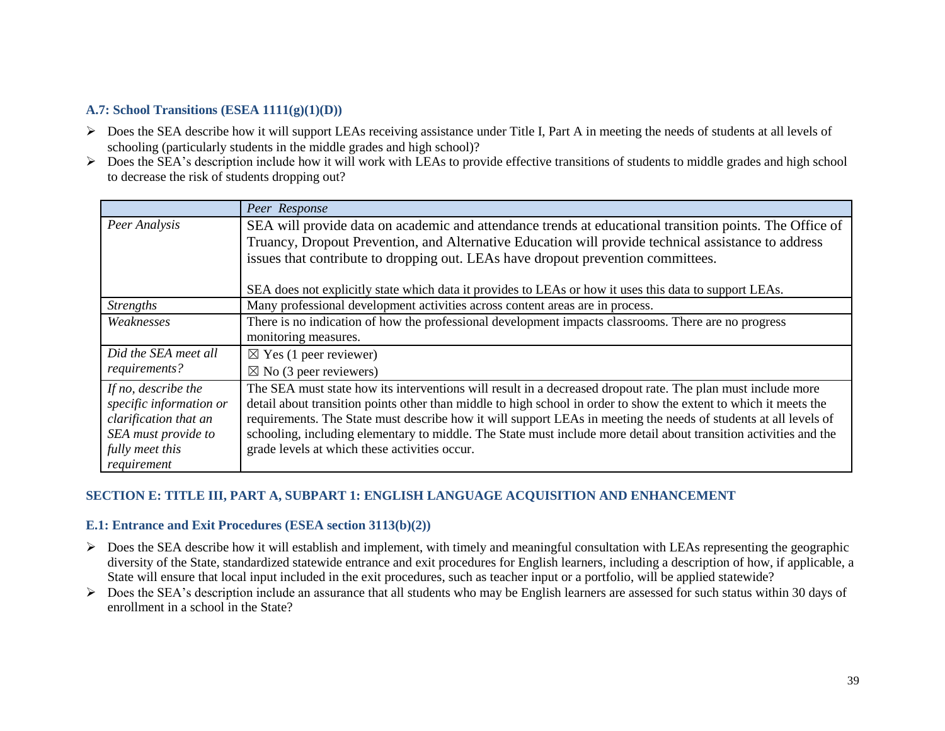# **A.7: School Transitions (ESEA 1111(g)(1)(D))**

- Does the SEA describe how it will support LEAs receiving assistance under Title I, Part A in meeting the needs of students at all levels of schooling (particularly students in the middle grades and high school)?
- $\triangleright$  Does the SEA's description include how it will work with LEAs to provide effective transitions of students to middle grades and high school to decrease the risk of students dropping out?

|                                                                                                                                  | Peer Response                                                                                                                                                                                                                                                                                                                                                                                                                                                                                                               |
|----------------------------------------------------------------------------------------------------------------------------------|-----------------------------------------------------------------------------------------------------------------------------------------------------------------------------------------------------------------------------------------------------------------------------------------------------------------------------------------------------------------------------------------------------------------------------------------------------------------------------------------------------------------------------|
| Peer Analysis                                                                                                                    | SEA will provide data on academic and attendance trends at educational transition points. The Office of                                                                                                                                                                                                                                                                                                                                                                                                                     |
|                                                                                                                                  | Truancy, Dropout Prevention, and Alternative Education will provide technical assistance to address                                                                                                                                                                                                                                                                                                                                                                                                                         |
|                                                                                                                                  | issues that contribute to dropping out. LEAs have dropout prevention committees.                                                                                                                                                                                                                                                                                                                                                                                                                                            |
|                                                                                                                                  | SEA does not explicitly state which data it provides to LEAs or how it uses this data to support LEAs.                                                                                                                                                                                                                                                                                                                                                                                                                      |
| <b>Strengths</b>                                                                                                                 | Many professional development activities across content areas are in process.                                                                                                                                                                                                                                                                                                                                                                                                                                               |
| Weaknesses                                                                                                                       | There is no indication of how the professional development impacts classrooms. There are no progress                                                                                                                                                                                                                                                                                                                                                                                                                        |
|                                                                                                                                  | monitoring measures.                                                                                                                                                                                                                                                                                                                                                                                                                                                                                                        |
| Did the SEA meet all                                                                                                             | $\boxtimes$ Yes (1 peer reviewer)                                                                                                                                                                                                                                                                                                                                                                                                                                                                                           |
| requirements?                                                                                                                    | $\boxtimes$ No (3 peer reviewers)                                                                                                                                                                                                                                                                                                                                                                                                                                                                                           |
| If no, describe the<br>specific information or<br>clarification that an<br>SEA must provide to<br>fully meet this<br>requirement | The SEA must state how its interventions will result in a decreased dropout rate. The plan must include more<br>detail about transition points other than middle to high school in order to show the extent to which it meets the<br>requirements. The State must describe how it will support LEAs in meeting the needs of students at all levels of<br>schooling, including elementary to middle. The State must include more detail about transition activities and the<br>grade levels at which these activities occur. |

### **SECTION E: TITLE III, PART A, SUBPART 1: ENGLISH LANGUAGE ACQUISITION AND ENHANCEMENT**

#### **E.1: Entrance and Exit Procedures (ESEA section 3113(b)(2))**

- $\triangleright$  Does the SEA describe how it will establish and implement, with timely and meaningful consultation with LEAs representing the geographic diversity of the State, standardized statewide entrance and exit procedures for English learners, including a description of how, if applicable, a State will ensure that local input included in the exit procedures, such as teacher input or a portfolio, will be applied statewide?
- Does the SEA's description include an assurance that all students who may be English learners are assessed for such status within 30 days of enrollment in a school in the State?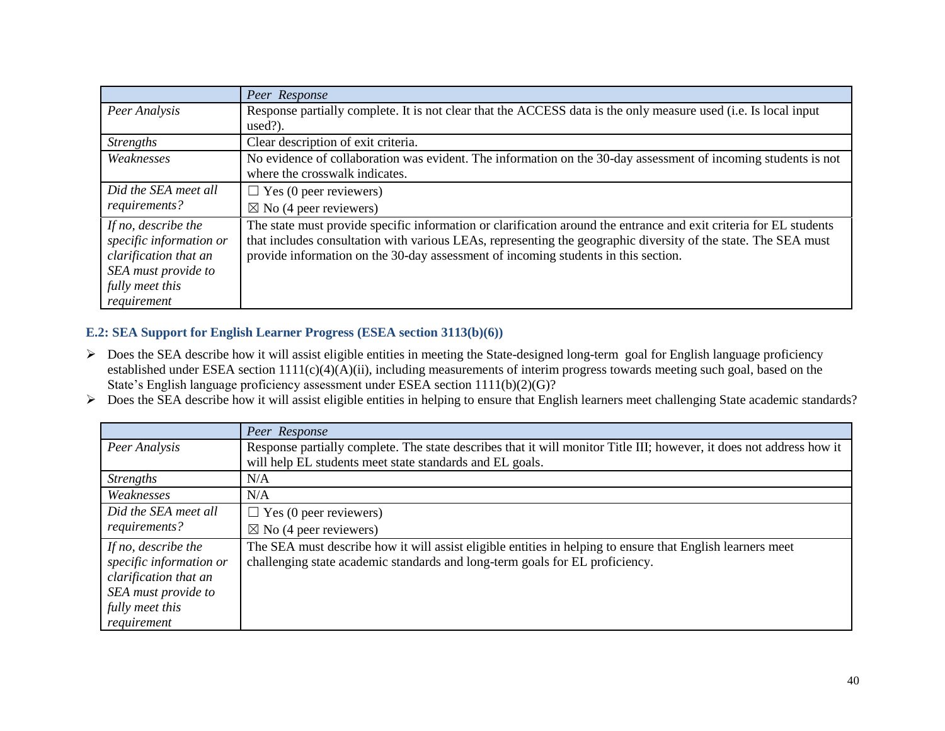|                         | Peer Response                                                                                                      |
|-------------------------|--------------------------------------------------------------------------------------------------------------------|
| Peer Analysis           | Response partially complete. It is not clear that the ACCESS data is the only measure used (i.e. Is local input    |
|                         | $used$ ?).                                                                                                         |
| <b>Strengths</b>        | Clear description of exit criteria.                                                                                |
| Weaknesses              | No evidence of collaboration was evident. The information on the 30-day assessment of incoming students is not     |
|                         | where the crosswalk indicates.                                                                                     |
| Did the SEA meet all    | $\Box$ Yes (0 peer reviewers)                                                                                      |
| requirements?           | $\boxtimes$ No (4 peer reviewers)                                                                                  |
| If no, describe the     | The state must provide specific information or clarification around the entrance and exit criteria for EL students |
| specific information or | that includes consultation with various LEAs, representing the geographic diversity of the state. The SEA must     |
| clarification that an   | provide information on the 30-day assessment of incoming students in this section.                                 |
| SEA must provide to     |                                                                                                                    |
| fully meet this         |                                                                                                                    |
| requirement             |                                                                                                                    |

# **E.2: SEA Support for English Learner Progress (ESEA section 3113(b)(6))**

- $\triangleright$  Does the SEA describe how it will assist eligible entities in meeting the State-designed long-term goal for English language proficiency established under ESEA section 1111(c)(4)(A)(ii), including measurements of interim progress towards meeting such goal, based on the State's English language proficiency assessment under ESEA section 1111(b)(2)(G)?
- Does the SEA describe how it will assist eligible entities in helping to ensure that English learners meet challenging State academic standards?

|                                                | Peer Response                                                                                                                                                                              |
|------------------------------------------------|--------------------------------------------------------------------------------------------------------------------------------------------------------------------------------------------|
| Peer Analysis                                  | Response partially complete. The state describes that it will monitor Title III; however, it does not address how it                                                                       |
|                                                | will help EL students meet state standards and EL goals.                                                                                                                                   |
| <i>Strengths</i>                               | N/A                                                                                                                                                                                        |
| Weaknesses                                     | N/A                                                                                                                                                                                        |
| Did the SEA meet all                           | $\Box$ Yes (0 peer reviewers)                                                                                                                                                              |
| requirements?                                  | $\boxtimes$ No (4 peer reviewers)                                                                                                                                                          |
| If no, describe the<br>specific information or | The SEA must describe how it will assist eligible entities in helping to ensure that English learners meet<br>challenging state academic standards and long-term goals for EL proficiency. |
| clarification that an                          |                                                                                                                                                                                            |
| SEA must provide to                            |                                                                                                                                                                                            |
| fully meet this                                |                                                                                                                                                                                            |
| requirement                                    |                                                                                                                                                                                            |